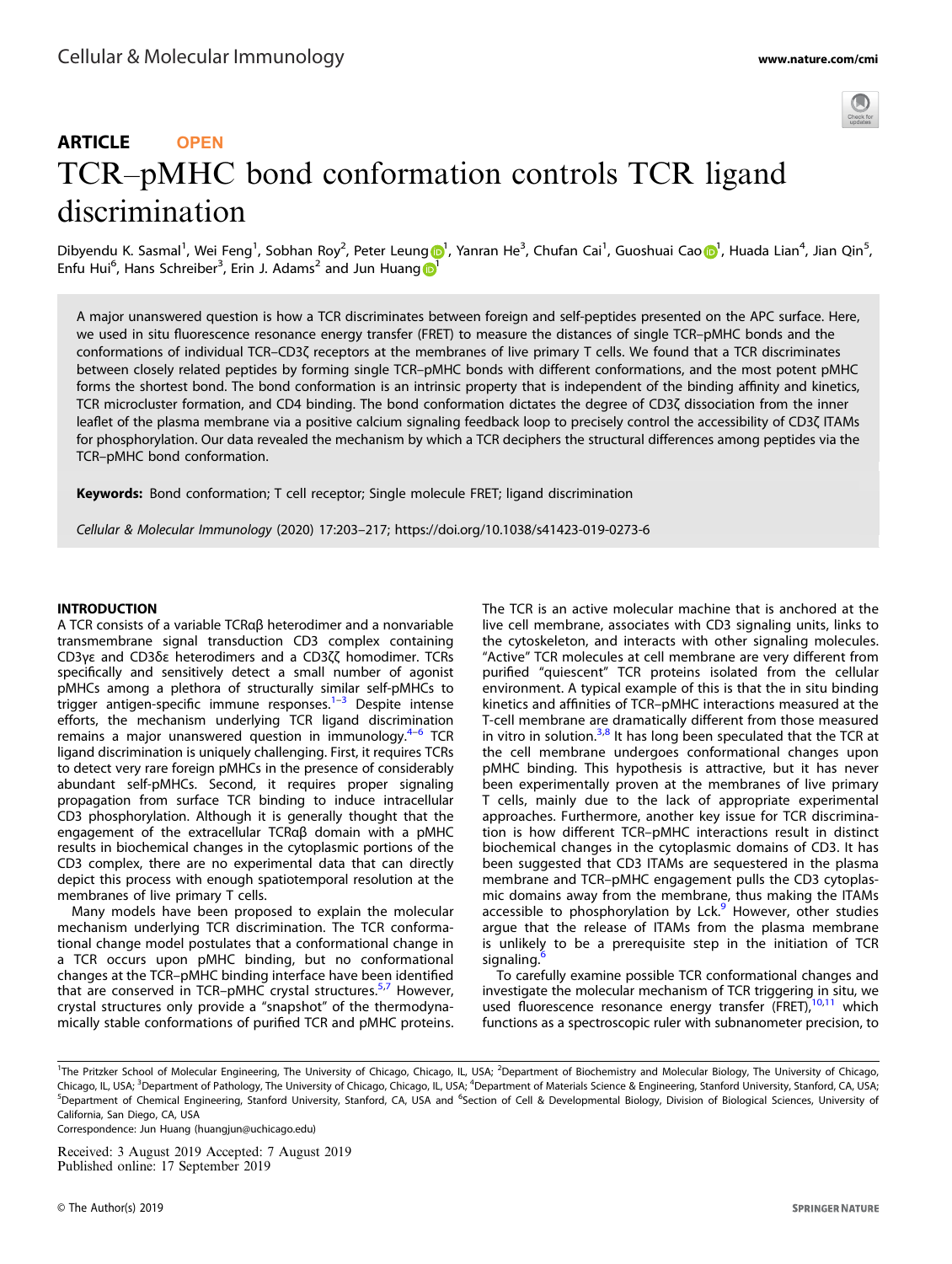

# ARTICLE **OPEN** TCR–pMHC bond conformation controls TCR ligand discrimination

Dibyendu K. Sasmal<sup>1</sup>, Wei Fen[g](http://orcid.org/0000-0002-8259-509X)<sup>[1](http://orcid.org/0000-0002-9987-4554)</sup>, S[o](http://orcid.org/0000-0002-9987-4554)bhan Roy<sup>2</sup>, Peter Leung D1, Yanran He<sup>3</sup>, Chufan Cai<sup>1</sup>, Guoshuai Cao D1, Huada Lian<sup>4</sup>, Jian Qin<sup>5</sup>, Enfu Hui<sup>6</sup>, Hans Schreiber<sup>3</sup>, Erin J. Adams<sup>2</sup> and Jun Huang

A major unanswered question is how a TCR discriminates between foreign and self-peptides presented on the APC surface. Here, we used in situ fluorescence resonance energy transfer (FRET) to measure the distances of single TCR–pMHC bonds and the conformations of individual TCR–CD3ζ receptors at the membranes of live primary T cells. We found that a TCR discriminates between closely related peptides by forming single TCR–pMHC bonds with different conformations, and the most potent pMHC forms the shortest bond. The bond conformation is an intrinsic property that is independent of the binding affinity and kinetics, TCR microcluster formation, and CD4 binding. The bond conformation dictates the degree of CD3ζ dissociation from the inner leaflet of the plasma membrane via a positive calcium signaling feedback loop to precisely control the accessibility of CD3ζ ITAMs for phosphorylation. Our data revealed the mechanism by which a TCR deciphers the structural differences among peptides via the TCR–pMHC bond conformation.

Keywords: Bond conformation; T cell receptor; Single molecule FRET; ligand discrimination

Cellular & Molecular Immunology (2020) 17:203–217; https://doi.org/10.1038/s41423-019-0273-6

## INTRODUCTION

A TCR consists of a variable TCRαβ heterodimer and a nonvariable transmembrane signal transduction CD3 complex containing CD3γε and CD3δε heterodimers and a CD3ζζ homodimer. TCRs specifically and sensitively detect a small number of agonist pMHCs among a plethora of structurally similar self-pMHCs to trigger antigen-specific immune responses. $1-3$  $1-3$  $1-3$  Despite intense efforts, the mechanism underlying TCR ligand discrimination remains a major unanswered question in immunology.[4](#page-13-0)–[6](#page-13-0) TCR ligand discrimination is uniquely challenging. First, it requires TCRs to detect very rare foreign pMHCs in the presence of considerably abundant self-pMHCs. Second, it requires proper signaling propagation from surface TCR binding to induce intracellular CD3 phosphorylation. Although it is generally thought that the engagement of the extracellular TCRαβ domain with a pMHC results in biochemical changes in the cytoplasmic portions of the CD3 complex, there are no experimental data that can directly depict this process with enough spatiotemporal resolution at the membranes of live primary T cells.

Many models have been proposed to explain the molecular mechanism underlying TCR discrimination. The TCR conformational change model postulates that a conformational change in a TCR occurs upon pMHC binding, but no conformational changes at the TCR–pMHC binding interface have been identified that are conserved in TCR-pMHC crystal structures.<sup>[5,7](#page-13-0)</sup> However, crystal structures only provide a "snapshot" of the thermodynamically stable conformations of purified TCR and pMHC proteins. The TCR is an active molecular machine that is anchored at the live cell membrane, associates with CD3 signaling units, links to the cytoskeleton, and interacts with other signaling molecules. "Active" TCR molecules at cell membrane are very different from purified "quiescent" TCR proteins isolated from the cellular environment. A typical example of this is that the in situ binding kinetics and affinities of TCR–pMHC interactions measured at the T-cell membrane are dramatically different from those measured in vitro in solution.<sup>[3,8](#page-13-0)</sup> It has long been speculated that the TCR at the cell membrane undergoes conformational changes upon pMHC binding. This hypothesis is attractive, but it has never been experimentally proven at the membranes of live primary T cells, mainly due to the lack of appropriate experimental approaches. Furthermore, another key issue for TCR discrimination is how different TCR–pMHC interactions result in distinct biochemical changes in the cytoplasmic domains of CD3. It has been suggested that CD3 ITAMs are sequestered in the plasma membrane and TCR–pMHC engagement pulls the CD3 cytoplasmic domains away from the membrane, thus making the ITAMs accessible to phosphorylation by Lck.<sup>[9](#page-13-0)</sup> However, other studies argue that the release of ITAMs from the plasma membrane is unlikely to be a prerequisite step in the initiation of TCR signaling.

To carefully examine possible TCR conformational changes and investigate the molecular mechanism of TCR triggering in situ, we used fluorescence resonance energy transfer (FRET),<sup>[10,11](#page-13-0)</sup> which functions as a spectroscopic ruler with subnanometer precision, to

Correspondence: Jun Huang ([huangjun@uchicago.edu\)](mailto:huangjun@uchicago.edu)

Received: 3 August 2019 Accepted: 7 August 2019 Published online: 17 September 2019

<sup>&</sup>lt;sup>1</sup>The Pritzker School of Molecular Engineering, The University of Chicago, Chicago, IL, USA; <sup>2</sup>Department of Biochemistry and Molecular Biology, The University of Chicago, Chicago, IL, USA; <sup>3</sup>Department of Pathology, The University of Chicago, Chicago, IL, USA; <sup>4</sup>Department of Materials Science & Engineering, Stanford University, Stanford, CA, USA; <sup>5</sup>Department of Chemical Engineering, Stanford University, Stanford, CA, USA and <sup>6</sup>Section of Cell & Developmental Biology, Division of Biological Sciences, University of California, San Diego, CA, USA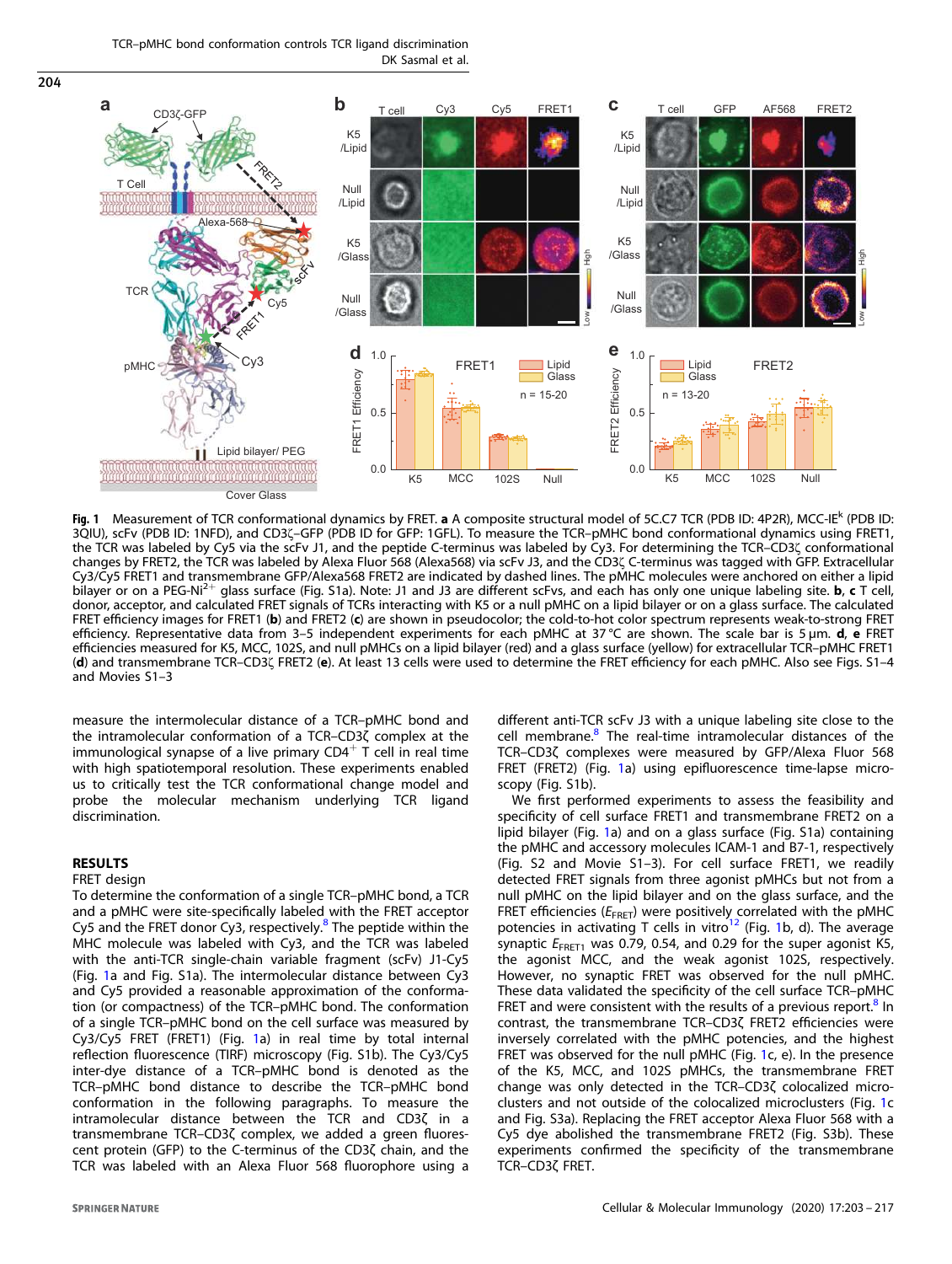TCR–pMHC bond conformation controls TCR ligand discrimination DK Sasmal et al.



Fig. 1 Measurement of TCR conformational dynamics by FRET. a A composite structural model of 5C.C7 TCR (PDB ID: 4P2R), MCC-IE<sup>k</sup> (PDB ID: 3QIU), scFv (PDB ID: 1NFD), and CD3ζ–GFP (PDB ID for GFP: 1GFL). To measure the TCR–pMHC bond conformational dynamics using FRET1, the TCR was labeled by Cy5 via the scFv J1, and the peptide C-terminus was labeled by Cy3. For determining the TCR–CD3ζ conformational changes by FRET2, the TCR was labeled by Alexa Fluor 568 (Alexa568) via scFv J3, and the CD3ζ C-terminus was tagged with GFP. Extracellular Cy3/Cy5 FRET1 and transmembrane GFP/Alexa568 FRET2 are indicated by dashed lines. The pMHC molecules were anchored on either a lipid bilayer or on a PEG-Ni2<sup>+</sup> glass surface (Fig. S1a). Note: J1 and J3 are different scFvs, and each has only one unique labeling site. b, c T cell, donor, acceptor, and calculated FRET signals of TCRs interacting with K5 or a null pMHC on a lipid bilayer or on a glass surface. The calculated FRET efficiency images for FRET1 (b) and FRET2 (c) are shown in pseudocolor; the cold-to-hot color spectrum represents weak-to-strong FRET efficiency. Representative data from 3–5 independent experiments for each pMHC at 37 °C are shown. The scale bar is 5 µm. d, e FRET efficiencies measured for K5, MCC, 102S, and null pMHCs on a lipid bilayer (red) and a glass surface (yellow) for extracellular TCR–pMHC FRET1 (d) and transmembrane TCR–CD3ζ FRET2 (e). At least 13 cells were used to determine the FRET efficiency for each pMHC. Also see Figs. S1–4 and Movies S1–3

measure the intermolecular distance of a TCR–pMHC bond and the intramolecular conformation of a TCR–CD3ζ complex at the immunological synapse of a live primary  $CD4^+$  T cell in real time with high spatiotemporal resolution. These experiments enabled us to critically test the TCR conformational change model and probe the molecular mechanism underlying TCR ligand discrimination.

# RESULTS

<span id="page-1-0"></span>204

## FRET design

To determine the conformation of a single TCR–pMHC bond, a TCR and a pMHC were site-specifically labeled with the FRET acceptor Cy5 and the FRET donor Cy3, respectively.<sup>[8](#page-13-0)</sup> The peptide within the MHC molecule was labeled with Cy3, and the TCR was labeled with the anti-TCR single-chain variable fragment (scFv) J1-Cy5 (Fig. 1a and Fig. S1a). The intermolecular distance between Cy3 and Cy5 provided a reasonable approximation of the conformation (or compactness) of the TCR–pMHC bond. The conformation of a single TCR–pMHC bond on the cell surface was measured by Cy3/Cy5 FRET (FRET1) (Fig. 1a) in real time by total internal reflection fluorescence (TIRF) microscopy (Fig. S1b). The Cy3/Cy5 inter-dye distance of a TCR–pMHC bond is denoted as the TCR–pMHC bond distance to describe the TCR–pMHC bond conformation in the following paragraphs. To measure the intramolecular distance between the TCR and CD3ζ in a transmembrane TCR–CD3ζ complex, we added a green fluorescent protein (GFP) to the C-terminus of the CD3ζ chain, and the TCR was labeled with an Alexa Fluor 568 fluorophore using a different anti-TCR scFv J3 with a unique labeling site close to the cell membrane.<sup>[8](#page-13-0)</sup> The real-time intramolecular distances of the TCR–CD3ζ complexes were measured by GFP/Alexa Fluor 568 FRET (FRET2) (Fig. 1a) using epifluorescence time-lapse microscopy (Fig. S1b).

We first performed experiments to assess the feasibility and specificity of cell surface FRET1 and transmembrane FRET2 on a lipid bilayer (Fig. 1a) and on a glass surface (Fig. S1a) containing the pMHC and accessory molecules ICAM-1 and B7-1, respectively (Fig. S2 and Movie S1–3). For cell surface FRET1, we readily detected FRET signals from three agonist pMHCs but not from a null pMHC on the lipid bilayer and on the glass surface, and the FRET efficiencies ( $E_{\text{FRET}}$ ) were positively correlated with the pMHC potencies in activating T cells in vitro<sup>[12](#page-13-0)</sup> (Fig. 1b, d). The average synaptic  $E_{\text{FRET1}}$  was 0.79, 0.54, and 0.29 for the super agonist K5, the agonist MCC, and the weak agonist 102S, respectively. However, no synaptic FRET was observed for the null pMHC. These data validated the specificity of the cell surface TCR–pMHC FRET and were consistent with the results of a previous report.<sup>[8](#page-13-0)</sup> In contrast, the transmembrane TCR–CD3ζ FRET2 efficiencies were inversely correlated with the pMHC potencies, and the highest FRET was observed for the null pMHC (Fig. 1c, e). In the presence of the K5, MCC, and 102S pMHCs, the transmembrane FRET change was only detected in the TCR–CD3ζ colocalized microclusters and not outside of the colocalized microclusters (Fig. 1c and Fig. S3a). Replacing the FRET acceptor Alexa Fluor 568 with a Cy5 dye abolished the transmembrane FRET2 (Fig. S3b). These experiments confirmed the specificity of the transmembrane TCR–CD3ζ FRET.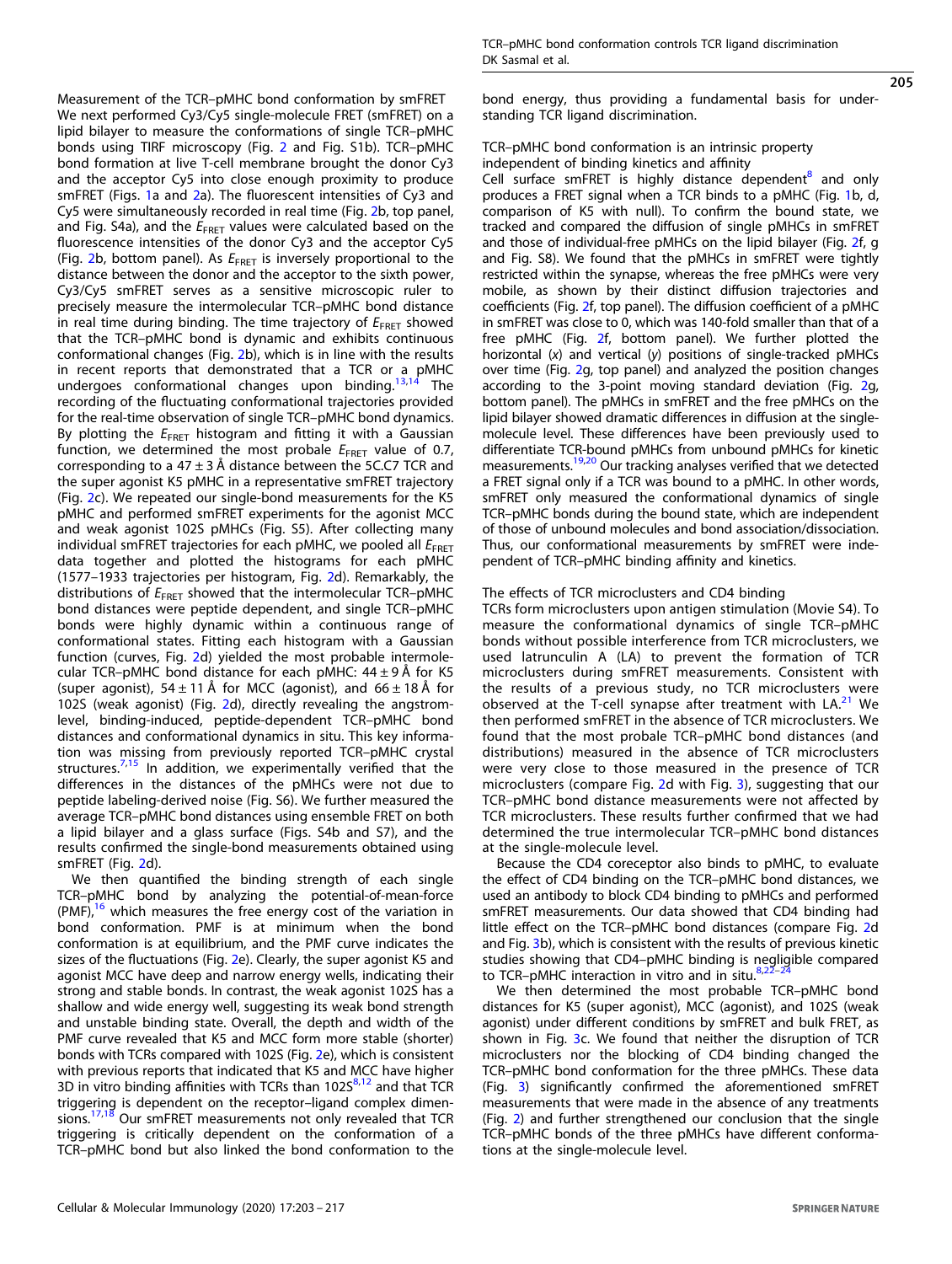Measurement of the TCR–pMHC bond conformation by smFRET We next performed Cy3/Cy5 single-molecule FRET (smFRET) on a lipid bilayer to measure the conformations of single TCR–pMHC bonds using TIRF microscopy (Fig. [2](#page-3-0) and Fig. S1b). TCR–pMHC bond formation at live T-cell membrane brought the donor Cy3 and the acceptor Cy5 into close enough proximity to produce smFRET (Figs. [1](#page-1-0)a and [2](#page-3-0)a). The fluorescent intensities of Cy3 and Cy5 were simultaneously recorded in real time (Fig. [2b](#page-3-0), top panel, and Fig. S4a), and the  $E_{FRET}$  values were calculated based on the fluorescence intensities of the donor Cy3 and the acceptor Cy5 (Fig. [2b](#page-3-0), bottom panel). As  $E_{\text{FRET}}$  is inversely proportional to the distance between the donor and the acceptor to the sixth power, Cy3/Cy5 smFRET serves as a sensitive microscopic ruler to precisely measure the intermolecular TCR–pMHC bond distance in real time during binding. The time trajectory of  $E_{\text{FRET}}$  showed that the TCR–pMHC bond is dynamic and exhibits continuous conformational changes (Fig. [2](#page-3-0)b), which is in line with the results in recent reports that demonstrated that a TCR or a pMHC undergoes conformational changes upon binding.[13,14](#page-13-0) The recording of the fluctuating conformational trajectories provided for the real-time observation of single TCR–pMHC bond dynamics. By plotting the  $E_{\text{FRET}}$  histogram and fitting it with a Gaussian function, we determined the most probale  $E_{\text{FRET}}$  value of 0.7, corresponding to a 47  $\pm$  3 Å distance between the 5C.C7 TCR and the super agonist K5 pMHC in a representative smFRET trajectory (Fig. [2](#page-3-0)c). We repeated our single-bond measurements for the K5 pMHC and performed smFRET experiments for the agonist MCC and weak agonist 102S pMHCs (Fig. S5). After collecting many individual smFRET trajectories for each pMHC, we pooled all  $E_{\text{FRET}}$ data together and plotted the histograms for each pMHC (1577–1933 trajectories per histogram, Fig. [2](#page-3-0)d). Remarkably, the distributions of  $E_{\text{FRET}}$  showed that the intermolecular TCR-pMHC bond distances were peptide dependent, and single TCR–pMHC bonds were highly dynamic within a continuous range of conformational states. Fitting each histogram with a Gaussian function (curves, Fig. [2](#page-3-0)d) yielded the most probable intermolecular TCR–pMHC bond distance for each pMHC:  $44 \pm 9$  Å for K5 (super agonist),  $54 \pm 11$  Å for MCC (agonist), and  $66 \pm 18$  Å for 102S (weak agonist) (Fig. [2d](#page-3-0)), directly revealing the angstromlevel, binding-induced, peptide-dependent TCR–pMHC bond distances and conformational dynamics in situ. This key information was missing from previously reported TCR–pMHC crystal structures. $7,15$  In addition, we experimentally verified that the differences in the distances of the pMHCs were not due to peptide labeling-derived noise (Fig. S6). We further measured the average TCR–pMHC bond distances using ensemble FRET on both a lipid bilayer and a glass surface (Figs. S4b and S7), and the results confirmed the single-bond measurements obtained using smFRET (Fig. [2](#page-3-0)d).

We then quantified the binding strength of each single TCR–pMHC bond by analyzing the potential-of-mean-force  $(PMF)<sup>16</sup>$  $(PMF)<sup>16</sup>$  $(PMF)<sup>16</sup>$  which measures the free energy cost of the variation in bond conformation. PMF is at minimum when the bond conformation is at equilibrium, and the PMF curve indicates the sizes of the fluctuations (Fig. [2](#page-3-0)e). Clearly, the super agonist K5 and agonist MCC have deep and narrow energy wells, indicating their strong and stable bonds. In contrast, the weak agonist 102S has a shallow and wide energy well, suggesting its weak bond strength and unstable binding state. Overall, the depth and width of the PMF curve revealed that K5 and MCC form more stable (shorter) bonds with TCRs compared with 102S (Fig. [2](#page-3-0)e), which is consistent with previous reports that indicated that K5 and MCC have higher 3D in vitro binding affinities with TCRs than  $102S<sup>8,12</sup>$  $102S<sup>8,12</sup>$  $102S<sup>8,12</sup>$  $102S<sup>8,12</sup>$  $102S<sup>8,12</sup>$  and that TCR triggering is dependent on the receptor–ligand complex dimen-sions.<sup>[17](#page-13-0),[18](#page-13-0)</sup> Our smFRET measurements not only revealed that TCR triggering is critically dependent on the conformation of a TCR–pMHC bond but also linked the bond conformation to the 205

bond energy, thus providing a fundamental basis for understanding TCR ligand discrimination.

## TCR–pMHC bond conformation is an intrinsic property independent of binding kinetics and affinity

Cell surface smFRET is highly distance dependent<sup>[8](#page-13-0)</sup> and only produces a FRET signal when a TCR binds to a pMHC (Fig. [1](#page-1-0)b, d, comparison of K5 with null). To confirm the bound state, we tracked and compared the diffusion of single pMHCs in smFRET and those of individual-free pMHCs on the lipid bilayer (Fig. [2f](#page-3-0), g and Fig. S8). We found that the pMHCs in smFRET were tightly restricted within the synapse, whereas the free pMHCs were very mobile, as shown by their distinct diffusion trajectories and coefficients (Fig. [2f](#page-3-0), top panel). The diffusion coefficient of a pMHC in smFRET was close to 0, which was 140-fold smaller than that of a free pMHC (Fig. [2](#page-3-0)f, bottom panel). We further plotted the horizontal (x) and vertical (y) positions of single-tracked pMHCs over time (Fig. [2g](#page-3-0), top panel) and analyzed the position changes according to the 3-point moving standard deviation (Fig. [2](#page-3-0)g, bottom panel). The pMHCs in smFRET and the free pMHCs on the lipid bilayer showed dramatic differences in diffusion at the singlemolecule level. These differences have been previously used to differentiate TCR-bound pMHCs from unbound pMHCs for kinetic measurements.[19](#page-13-0),[20](#page-13-0) Our tracking analyses verified that we detected a FRET signal only if a TCR was bound to a pMHC. In other words, smFRET only measured the conformational dynamics of single TCR–pMHC bonds during the bound state, which are independent of those of unbound molecules and bond association/dissociation. Thus, our conformational measurements by smFRET were independent of TCR–pMHC binding affinity and kinetics.

## The effects of TCR microclusters and CD4 binding

TCRs form microclusters upon antigen stimulation (Movie S4). To measure the conformational dynamics of single TCR–pMHC bonds without possible interference from TCR microclusters, we used latrunculin A (LA) to prevent the formation of TCR microclusters during smFRET measurements. Consistent with the results of a previous study, no TCR microclusters were observed at the T-cell synapse after treatment with  $LA<sup>21</sup>$  $LA<sup>21</sup>$  $LA<sup>21</sup>$  We then performed smFRET in the absence of TCR microclusters. We found that the most probale TCR–pMHC bond distances (and distributions) measured in the absence of TCR microclusters were very close to those measured in the presence of TCR microclusters (compare Fig. [2d](#page-3-0) with Fig. [3\)](#page-13-0), suggesting that our TCR–pMHC bond distance measurements were not affected by TCR microclusters. These results further confirmed that we had determined the true intermolecular TCR–pMHC bond distances at the single-molecule level.

Because the CD4 coreceptor also binds to pMHC, to evaluate the effect of CD4 binding on the TCR–pMHC bond distances, we used an antibody to block CD4 binding to pMHCs and performed smFRET measurements. Our data showed that CD4 binding had little effect on the TCR–pMHC bond distances (compare Fig. [2d](#page-3-0) and Fig. [3](#page-4-0)b), which is consistent with the results of previous kinetic studies showing that CD4–pMHC binding is negligible compared to TCR–pMHC interaction in vitro and in situ. $8.2$ 

We then determined the most probable TCR–pMHC bond distances for K5 (super agonist), MCC (agonist), and 102S (weak agonist) under different conditions by smFRET and bulk FRET, as shown in Fig. [3](#page-4-0)c. We found that neither the disruption of TCR microclusters nor the blocking of CD4 binding changed the TCR–pMHC bond conformation for the three pMHCs. These data (Fig. [3\)](#page-4-0) significantly confirmed the aforementioned smFRET measurements that were made in the absence of any treatments (Fig. [2\)](#page-3-0) and further strengthened our conclusion that the single TCR–pMHC bonds of the three pMHCs have different conformations at the single-molecule level.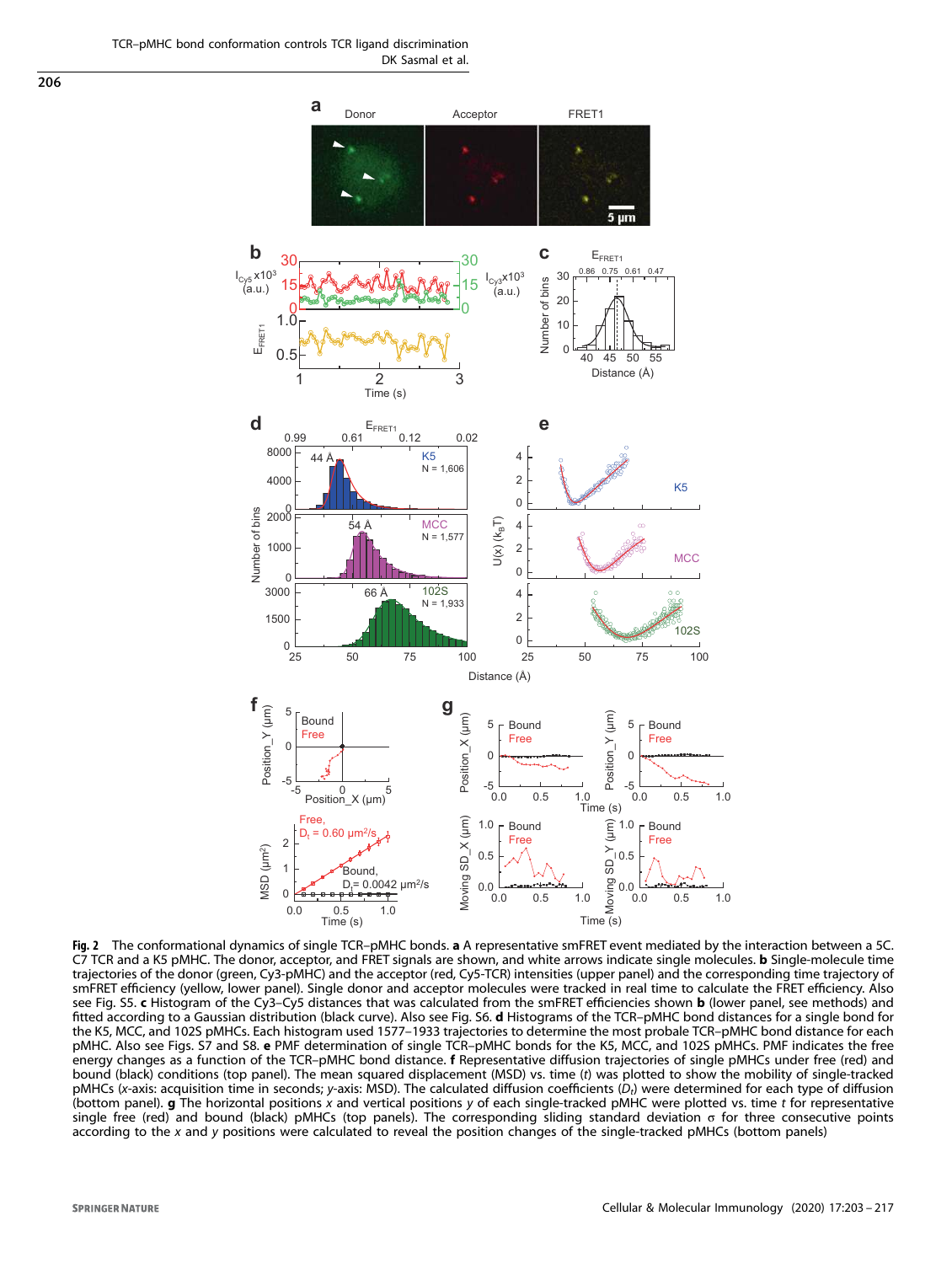TCR–pMHC bond conformation controls TCR ligand discrimination DK Sasmal et al.

<span id="page-3-0"></span>206



Fig. 2 The conformational dynamics of single TCR-pMHC bonds. a A representative smFRET event mediated by the interaction between a 5C. C7 TCR and a K5 pMHC. The donor, acceptor, and FRET signals are shown, and white arrows indicate single molecules. **b** Single-molecule time trajectories of the donor (green, Cy3-pMHC) and the acceptor (red, Cy5-TCR) intensities (upper panel) and the corresponding time trajectory of smFRET efficiency (yellow, lower panel). Single donor and acceptor molecules were tracked in real time to calculate the FRET efficiency. Also see Fig. S5. c Histogram of the Cy3-Cy5 distances that was calculated from the smFRET efficiencies shown b (lower panel, see methods) and fitted according to a Gaussian distribution (black curve). Also see Fig. S6. d Histograms of the TCR–pMHC bond distances for a single bond for the K5, MCC, and 102S pMHCs. Each histogram used 1577–1933 trajectories to determine the most probale TCR–pMHC bond distance for each pMHC. Also see Figs. S7 and S8. e PMF determination of single TCR–pMHC bonds for the K5, MCC, and 102S pMHCs. PMF indicates the free energy changes as a function of the TCR-pMHC bond distance. f Representative diffusion trajectories of single pMHCs under free (red) and bound (black) conditions (top panel). The mean squared displacement (MSD) vs. time (t) was plotted to show the mobility of single-tracked pMHCs (x-axis: acquisition time in seconds; y-axis: MSD). The calculated diffusion coefficients (D<sub>t</sub>) were determined for each type of diffusion (bottom panel).  $g$  The horizontal positions x and vertical positions y of each single-tracked pMHC were plotted vs. time  $t$  for representative single free (red) and bound (black) pMHCs (top panels). The corresponding sliding standard deviation σ for three consecutive points according to the x and y positions were calculated to reveal the position changes of the single-tracked pMHCs (bottom panels)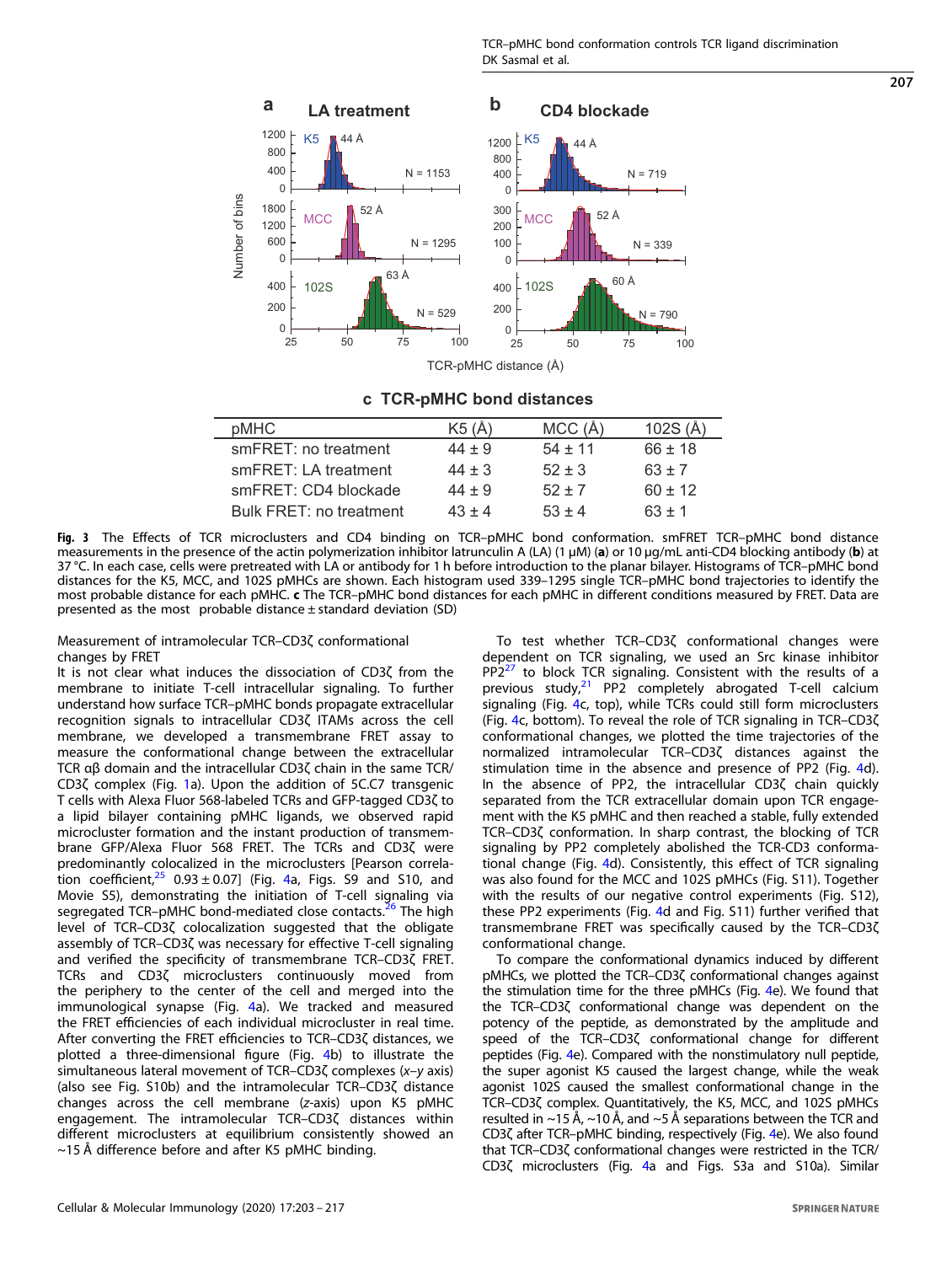<span id="page-4-0"></span>

# **c TCR-pMHC bond distances**

| pMHC                    | K5(A)      | MCC(A)    | 102S $(A)$  |
|-------------------------|------------|-----------|-------------|
| smFRET: no treatment    | $44 + 9$   | $54 + 11$ | $66 \pm 18$ |
| smFRET: LA treatment    | $44 \pm 3$ | $52 + 3$  | $63 + 7$    |
| smFRET: CD4 blockade    | $44 + 9$   | $52 + 7$  | $60 + 12$   |
| Bulk FRET: no treatment | $43 + 4$   | $53 + 4$  | $63 + 1$    |

Fig. 3 The Effects of TCR microclusters and CD4 binding on TCR–pMHC bond conformation. smFRET TCR–pMHC bond distance measurements in the presence of the actin polymerization inhibitor latrunculin A (LA) (1 µM) (a) or 10 µg/mL anti-CD4 blocking antibody (b) at 37 °C. In each case, cells were pretreated with LA or antibody for 1 h before introduction to the planar bilayer. Histograms of TCR–pMHC bond distances for the K5, MCC, and 102S pMHCs are shown. Each histogram used 339–1295 single TCR–pMHC bond trajectories to identify the most probable distance for each pMHC. c The TCR-pMHC bond distances for each pMHC in different conditions measured by FRET. Data are presented as the most probable distance  $\pm$  standard deviation (SD)

Measurement of intramolecular TCR–CD3ζ conformational changes by FRET

It is not clear what induces the dissociation of CD3ζ from the membrane to initiate T-cell intracellular signaling. To further understand how surface TCR–pMHC bonds propagate extracellular recognition signals to intracellular CD3ζ ITAMs across the cell membrane, we developed a transmembrane FRET assay to measure the conformational change between the extracellular TCR αβ domain and the intracellular CD3ζ chain in the same TCR/ CD3ζ complex (Fig. [1](#page-1-0)a). Upon the addition of 5C.C7 transgenic T cells with Alexa Fluor 568-labeled TCRs and GFP-tagged CD3ζ to a lipid bilayer containing pMHC ligands, we observed rapid microcluster formation and the instant production of transmembrane GFP/Alexa Fluor 568 FRET. The TCRs and CD3ζ were predominantly colocalized in the microclusters [Pearson correlation coefficient,  $25$  0.93  $\pm$  0.07] (Fig. [4a](#page-5-0), Figs. S9 and S10, and Movie S5), demonstrating the initiation of T-cell signaling via segregated TCR-pMHC bond-mediated close contacts.<sup>[26](#page-13-0)</sup> The high level of TCR–CD3ζ colocalization suggested that the obligate assembly of TCR–CD3ζ was necessary for effective T-cell signaling and verified the specificity of transmembrane TCR–CD3ζ FRET. TCRs and CD3ζ microclusters continuously moved from the periphery to the center of the cell and merged into the immunological synapse (Fig. [4](#page-5-0)a). We tracked and measured the FRET efficiencies of each individual microcluster in real time. After converting the FRET efficiencies to TCR–CD3ζ distances, we plotted a three-dimensional figure (Fig. [4b](#page-5-0)) to illustrate the simultaneous lateral movement of TCR–CD3ζ complexes (x–y axis) (also see Fig. S10b) and the intramolecular TCR–CD3ζ distance changes across the cell membrane (z-axis) upon K5 pMHC engagement. The intramolecular TCR–CD3ζ distances within different microclusters at equilibrium consistently showed an  $\sim$ 15 Å difference before and after K5 pMHC binding.

To test whether TCR–CD3ζ conformational changes were dependent on TCR signaling, we used an Src kinase inhibitor  $PP2<sup>27</sup>$  $PP2<sup>27</sup>$  $PP2<sup>27</sup>$  to block TCR signaling. Consistent with the results of a previous study, $21$  PP2 completely abrogated T-cell calcium signaling (Fig. [4](#page-5-0)c, top), while TCRs could still form microclusters (Fig. [4c](#page-5-0), bottom). To reveal the role of TCR signaling in TCR–CD3ζ conformational changes, we plotted the time trajectories of the normalized intramolecular TCR–CD3ζ distances against the stimulation time in the absence and presence of PP2 (Fig. [4d](#page-5-0)). In the absence of PP2, the intracellular CD3ζ chain quickly separated from the TCR extracellular domain upon TCR engagement with the K5 pMHC and then reached a stable, fully extended TCR–CD3ζ conformation. In sharp contrast, the blocking of TCR signaling by PP2 completely abolished the TCR-CD3 conformational change (Fig. [4d](#page-5-0)). Consistently, this effect of TCR signaling was also found for the MCC and 102S pMHCs (Fig. S11). Together with the results of our negative control experiments (Fig. S12), these PP2 experiments (Fig. [4d](#page-5-0) and Fig. S11) further verified that transmembrane FRET was specifically caused by the TCR–CD3ζ conformational change.

To compare the conformational dynamics induced by different pMHCs, we plotted the TCR–CD3ζ conformational changes against the stimulation time for the three pMHCs (Fig. [4e](#page-5-0)). We found that the TCR–CD3ζ conformational change was dependent on the potency of the peptide, as demonstrated by the amplitude and speed of the TCR–CD3ζ conformational change for different peptides (Fig. [4e](#page-5-0)). Compared with the nonstimulatory null peptide, the super agonist K5 caused the largest change, while the weak agonist 102S caused the smallest conformational change in the TCR–CD3ζ complex. Quantitatively, the K5, MCC, and 102S pMHCs resulted in  $\sim$ 15 A,  $\sim$ 10 A, and  $\sim$ 5 A separations between the TCR and CD3ζ after TCR–pMHC binding, respectively (Fig. [4e](#page-5-0)). We also found that TCR–CD3ζ conformational changes were restricted in the TCR/ CD3ζ microclusters (Fig. [4](#page-5-0)a and Figs. S3a and S10a). Similar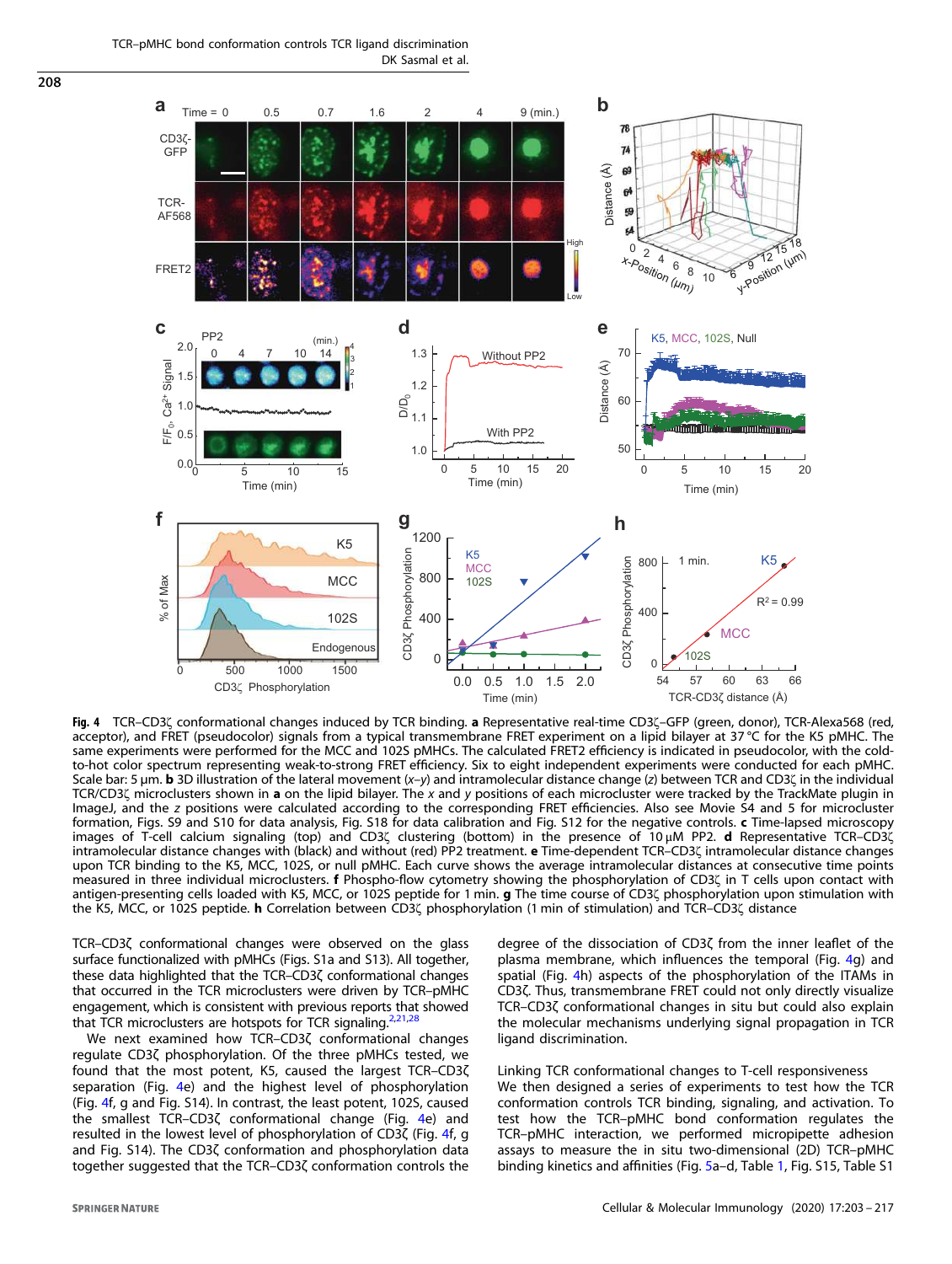<span id="page-5-0"></span>TCR–pMHC bond conformation controls TCR ligand discrimination DK Sasmal et al.



Fig. 4 TCR–CD3ζ conformational changes induced by TCR binding. a Representative real-time CD3ζ–GFP (green, donor), TCR-Alexa568 (red, acceptor), and FRET (pseudocolor) signals from a typical transmembrane FRET experiment on a lipid bilayer at 37 °C for the K5 pMHC. The same experiments were performed for the MCC and 102S pMHCs. The calculated FRET2 efficiency is indicated in pseudocolor, with the coldto-hot color spectrum representing weak-to-strong FRET efficiency. Six to eight independent experiments were conducted for each pMHC. Scale bar: 5  $\mu$ m. **b** 3D illustration of the lateral movement  $(x-y)$  and intramolecular distance change (z) between TCR and CD3 $\zeta$  in the individual TCR/CD3( microclusters shown in a on the lipid bilayer. The x and y positions of each microcluster were tracked by the TrackMate plugin in ImageJ, and the z positions were calculated according to the corresponding FRET efficiencies. Also see Movie S4 and 5 for microcluster formation, Figs. S9 and S10 for data analysis, Fig. S18 for data calibration and Fig. S12 for the negative controls. c Time-lapsed microscopy images of T-cell calcium signaling (top) and CD3ζ clustering (bottom) in the presence of 10 μM PP2. d Representative TCR–CD3ζ intramolecular distance changes with (black) and without (red) PP2 treatment. e Time-dependent TCR–CD3ζ intramolecular distance changes upon TCR binding to the K5, MCC, 102S, or null pMHC. Each curve shows the average intramolecular distances at consecutive time points measured in three individual microclusters. f Phospho-flow cytometry showing the phosphorylation of CD3ζ in T cells upon contact with antigen-presenting cells loaded with K5, MCC, or 102S peptide for 1 min. g The time course of CD3<sup>7</sup> phosphorylation upon stimulation with the K5, MCC, or 102S peptide. h Correlation between CD3ζ phosphorylation (1 min of stimulation) and TCR–CD3ζ distance

TCR–CD3ζ conformational changes were observed on the glass surface functionalized with pMHCs (Figs. S1a and S13). All together, these data highlighted that the TCR–CD3ζ conformational changes that occurred in the TCR microclusters were driven by TCR–pMHC engagement, which is consistent with previous reports that showed that TCR microclusters are hotspots for TCR signaling. $2,21,28$  $2,21,28$  $2,21,28$ 

We next examined how TCR–CD3ζ conformational changes regulate CD3ζ phosphorylation. Of the three pMHCs tested, we found that the most potent, K5, caused the largest TCR–CD3ζ separation (Fig. 4e) and the highest level of phosphorylation (Fig. 4f, g and Fig. S14). In contrast, the least potent, 102S, caused the smallest TCR–CD3ζ conformational change (Fig. 4e) and resulted in the lowest level of phosphorylation of CD3ζ (Fig. 4f, g and Fig. S14). The CD3ζ conformation and phosphorylation data together suggested that the TCR–CD3ζ conformation controls the degree of the dissociation of CD3ζ from the inner leaflet of the plasma membrane, which influences the temporal (Fig. 4g) and spatial (Fig. 4h) aspects of the phosphorylation of the ITAMs in CD3ζ. Thus, transmembrane FRET could not only directly visualize TCR–CD3ζ conformational changes in situ but could also explain the molecular mechanisms underlying signal propagation in TCR ligand discrimination.

Linking TCR conformational changes to T-cell responsiveness We then designed a series of experiments to test how the TCR conformation controls TCR binding, signaling, and activation. To test how the TCR–pMHC bond conformation regulates the TCR–pMHC interaction, we performed micropipette adhesion assays to measure the in situ two-dimensional (2D) TCR–pMHC binding kinetics and affinities (Fig. [5a](#page-7-0)–d, Table [1,](#page-8-0) Fig. S15, Table S1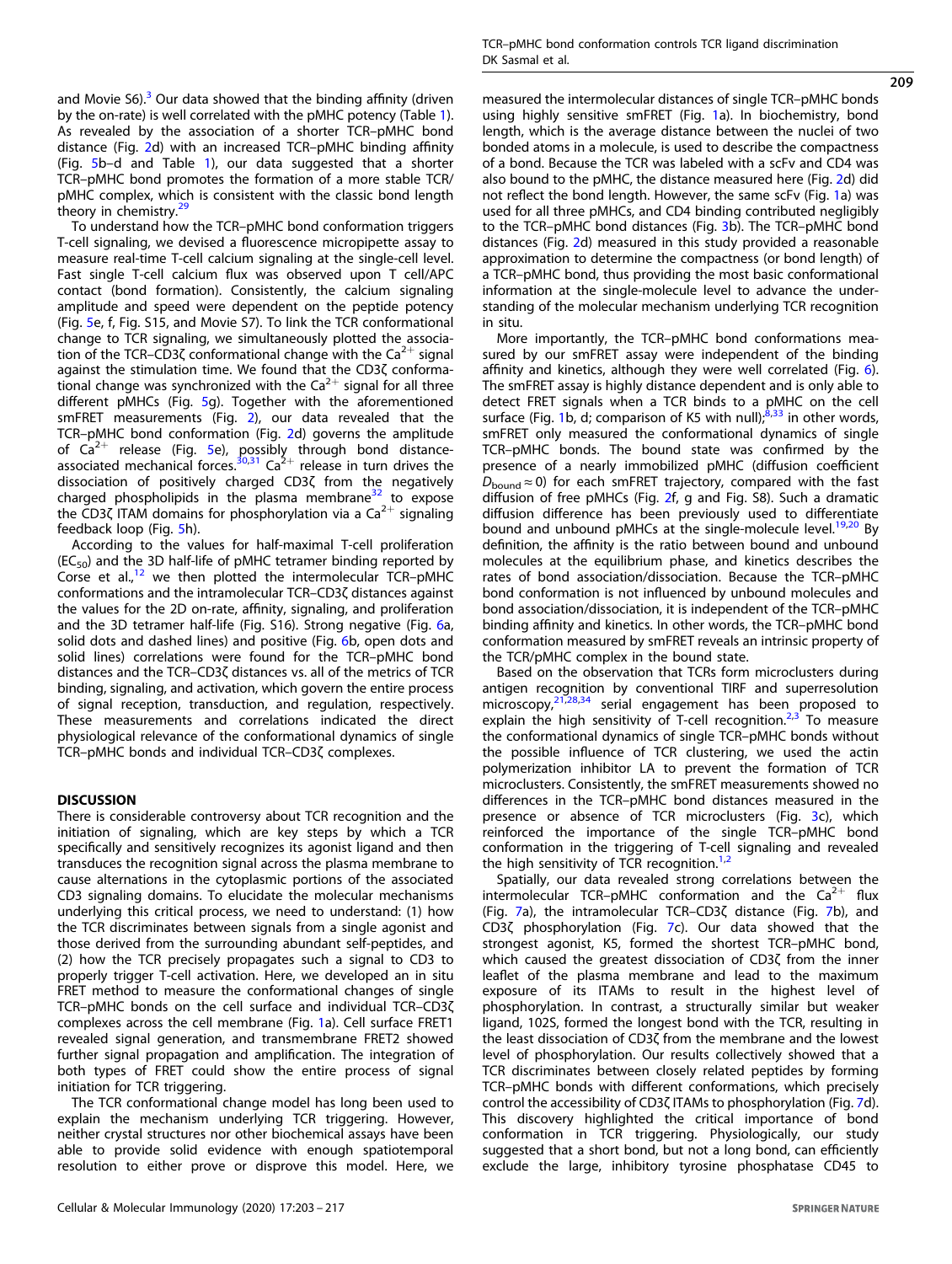and Movie  $56$ ).<sup>[3](#page-13-0)</sup> Our data showed that the binding affinity (driven by the on-rate) is well correlated with the pMHC potency (Table [1\)](#page-8-0). As revealed by the association of a shorter TCR–pMHC bond distance (Fig. [2](#page-3-0)d) with an increased TCR–pMHC binding affinity (Fig. [5b](#page-7-0)–d and Table [1](#page-8-0)), our data suggested that a shorter TCR–pMHC bond promotes the formation of a more stable TCR/ pMHC complex, which is consistent with the classic bond length theory in chemistry.<sup>2</sup>

To understand how the TCR–pMHC bond conformation triggers T-cell signaling, we devised a fluorescence micropipette assay to measure real-time T-cell calcium signaling at the single-cell level. Fast single T-cell calcium flux was observed upon T cell/APC contact (bond formation). Consistently, the calcium signaling amplitude and speed were dependent on the peptide potency (Fig. [5e](#page-7-0), f, Fig. S15, and Movie S7). To link the TCR conformational change to TCR signaling, we simultaneously plotted the association of the TCR–CD3 $\zeta$  conformational change with the  $Ca^{2+}$  signal against the stimulation time. We found that the CD3ζ conformational change was synchronized with the  $Ca^{2+}$  signal for all three different pMHCs (Fig. [5g](#page-7-0)). Together with the aforementioned smFRET measurements (Fig. [2](#page-3-0)), our data revealed that the TCR–pMHC bond conformation (Fig. [2](#page-3-0)d) governs the amplitude of  $Ca^{2+}$  release (Fig. [5](#page-7-0)e), possibly through bond distance-<br>associated mechanical forces.<sup>[30,31](#page-13-0)</sup> Ca<sup>2+</sup> release in turn drives the dissociation of positively charged CD3ζ from the negatively charged phospholipids in the plasma membrane<sup>[32](#page-14-0)</sup> to expose the CD3 $\zeta$  ITAM domains for phosphorylation via a Ca<sup>2+</sup> signaling feedback loop (Fig. [5h](#page-7-0)).

According to the values for half-maximal T-cell proliferation  $(EC_{50})$  and the 3D half-life of pMHC tetramer binding reported by Corse et al., $12$  we then plotted the intermolecular TCR-pMHC conformations and the intramolecular TCR–CD3ζ distances against the values for the 2D on-rate, affinity, signaling, and proliferation and the 3D tetramer half-life (Fig. S16). Strong negative (Fig. [6a](#page-8-0), solid dots and dashed lines) and positive (Fig. [6](#page-8-0)b, open dots and solid lines) correlations were found for the TCR–pMHC bond distances and the TCR–CD3ζ distances vs. all of the metrics of TCR binding, signaling, and activation, which govern the entire process of signal reception, transduction, and regulation, respectively. These measurements and correlations indicated the direct physiological relevance of the conformational dynamics of single TCR–pMHC bonds and individual TCR–CD3ζ complexes.

#### **DISCUSSION**

There is considerable controversy about TCR recognition and the initiation of signaling, which are key steps by which a TCR specifically and sensitively recognizes its agonist ligand and then transduces the recognition signal across the plasma membrane to cause alternations in the cytoplasmic portions of the associated CD3 signaling domains. To elucidate the molecular mechanisms underlying this critical process, we need to understand: (1) how the TCR discriminates between signals from a single agonist and those derived from the surrounding abundant self-peptides, and (2) how the TCR precisely propagates such a signal to CD3 to properly trigger T-cell activation. Here, we developed an in situ FRET method to measure the conformational changes of single TCR–pMHC bonds on the cell surface and individual TCR–CD3ζ complexes across the cell membrane (Fig. [1](#page-1-0)a). Cell surface FRET1 revealed signal generation, and transmembrane FRET2 showed further signal propagation and amplification. The integration of both types of FRET could show the entire process of signal initiation for TCR triggering.

The TCR conformational change model has long been used to explain the mechanism underlying TCR triggering. However, neither crystal structures nor other biochemical assays have been able to provide solid evidence with enough spatiotemporal resolution to either prove or disprove this model. Here, we 209

measured the intermolecular distances of single TCR–pMHC bonds using highly sensitive smFRET (Fig. [1](#page-1-0)a). In biochemistry, bond length, which is the average distance between the nuclei of two bonded atoms in a molecule, is used to describe the compactness of a bond. Because the TCR was labeled with a scFv and CD4 was also bound to the pMHC, the distance measured here (Fig. [2d](#page-3-0)) did not reflect the bond length. However, the same scFv (Fig. [1](#page-1-0)a) was used for all three pMHCs, and CD4 binding contributed negligibly to the TCR–pMHC bond distances (Fig. [3](#page-4-0)b). The TCR–pMHC bond distances (Fig. [2](#page-3-0)d) measured in this study provided a reasonable approximation to determine the compactness (or bond length) of a TCR–pMHC bond, thus providing the most basic conformational information at the single-molecule level to advance the understanding of the molecular mechanism underlying TCR recognition in situ.

More importantly, the TCR–pMHC bond conformations measured by our smFRET assay were independent of the binding affinity and kinetics, although they were well correlated (Fig. [6\)](#page-8-0). The smFRET assay is highly distance dependent and is only able to detect FRET signals when a TCR binds to a pMHC on the cell surface (Fig. [1b](#page-1-0), d; comparison of K5 with null); $8,33$  $8,33$  $8,33$  in other words, smFRET only measured the conformational dynamics of single TCR–pMHC bonds. The bound state was confirmed by the presence of a nearly immobilized pMHC (diffusion coefficient  $D_{\text{bound}} \approx 0$ ) for each smFRET trajectory, compared with the fast diffusion of free pMHCs (Fig. [2](#page-3-0)f, g and Fig. S8). Such a dramatic diffusion difference has been previously used to differentiate bound and unbound pMHCs at the single-molecule level.<sup>[19](#page-13-0),[20](#page-13-0)</sup> By definition, the affinity is the ratio between bound and unbound molecules at the equilibrium phase, and kinetics describes the rates of bond association/dissociation. Because the TCR–pMHC bond conformation is not influenced by unbound molecules and bond association/dissociation, it is independent of the TCR–pMHC binding affinity and kinetics. In other words, the TCR–pMHC bond conformation measured by smFRET reveals an intrinsic property of the TCR/pMHC complex in the bound state.

Based on the observation that TCRs form microclusters during antigen recognition by conventional TIRF and superresolution microscopy, $21,28,34$  $21,28,34$  $21,28,34$  $21,28,34$  serial engagement has been proposed to explain the high sensitivity of T-cell recognition.<sup>[2](#page-13-0),[3](#page-13-0)</sup> To measure the conformational dynamics of single TCR–pMHC bonds without the possible influence of TCR clustering, we used the actin polymerization inhibitor LA to prevent the formation of TCR microclusters. Consistently, the smFRET measurements showed no differences in the TCR–pMHC bond distances measured in the presence or absence of TCR microclusters (Fig. [3](#page-4-0)c), which reinforced the importance of the single TCR–pMHC bond conformation in the triggering of T-cell signaling and revealed the high sensitivity of TCR recognition.<sup>[1,2](#page-13-0)</sup>

Spatially, our data revealed strong correlations between the intermolecular TCR-pMHC conformation and the  $Ca^{2+}$  flux (Fig. [7](#page-9-0)a), the intramolecular TCR–CD3ζ distance (Fig. [7](#page-9-0)b), and CD3ζ phosphorylation (Fig. [7](#page-9-0)c). Our data showed that the strongest agonist, K5, formed the shortest TCR–pMHC bond, which caused the greatest dissociation of CD3ζ from the inner leaflet of the plasma membrane and lead to the maximum exposure of its ITAMs to result in the highest level of phosphorylation. In contrast, a structurally similar but weaker ligand, 102S, formed the longest bond with the TCR, resulting in the least dissociation of CD3ζ from the membrane and the lowest level of phosphorylation. Our results collectively showed that a TCR discriminates between closely related peptides by forming TCR–pMHC bonds with different conformations, which precisely control the accessibility of CD3ζ ITAMs to phosphorylation (Fig. [7d](#page-9-0)). This discovery highlighted the critical importance of bond conformation in TCR triggering. Physiologically, our study suggested that a short bond, but not a long bond, can efficiently exclude the large, inhibitory tyrosine phosphatase CD45 to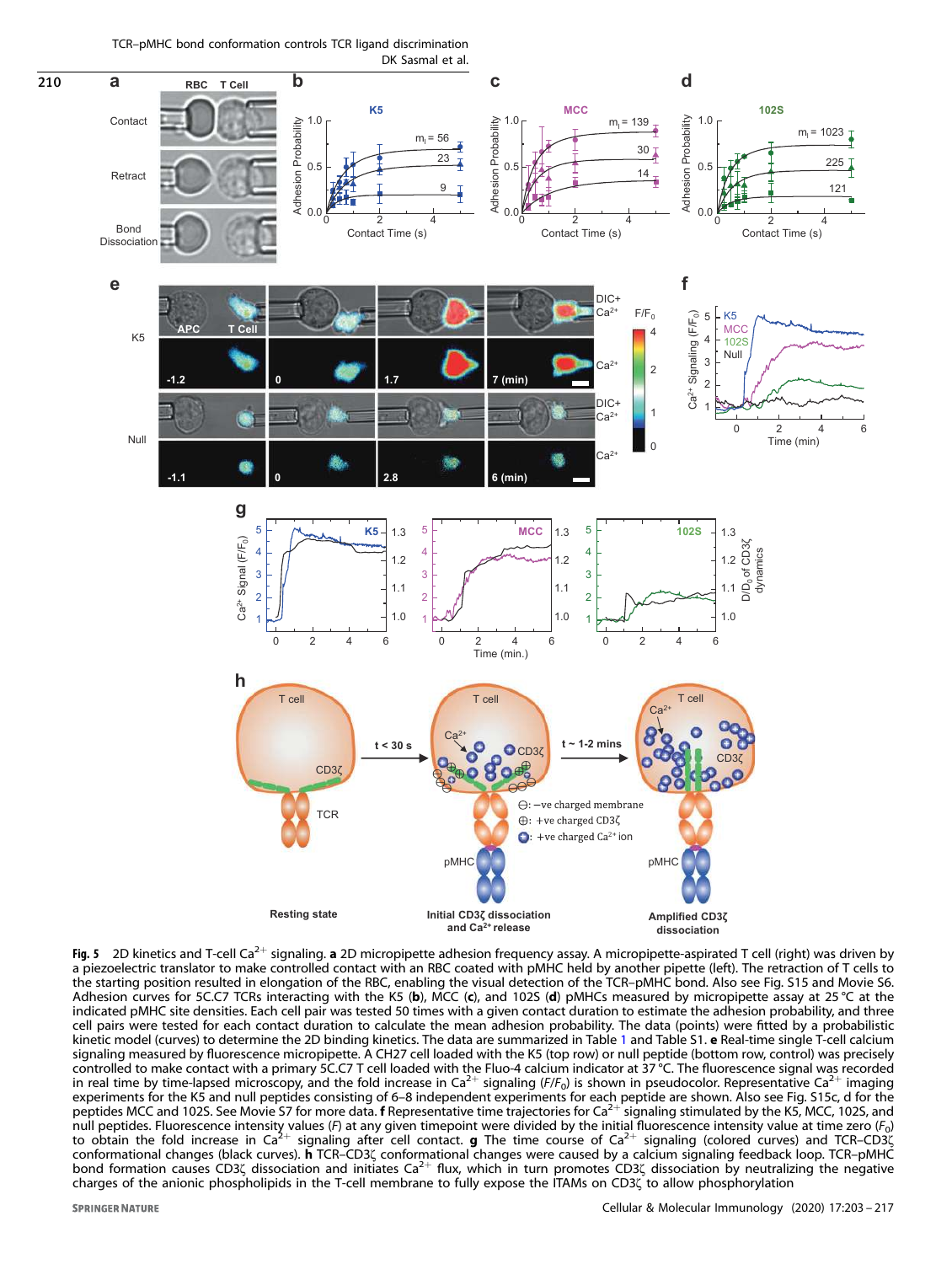TCR–pMHC bond conformation controls TCR ligand discrimination DK Sasmal et al.

<span id="page-7-0"></span> $\frac{1}{210}$ 



**Fig. 5** 2D kinetics and T-cell Ca<sup>2+</sup> signaling. **a** 2D micropipette adhesion frequency assay. A micropipette-aspirated T cell (right) was driven by a piezoelectric translator to make controlled contact with an RBC coated with pMHC held by another pipette (left). The retraction of T cells to the starting position resulted in elongation of the RBC, enabling the visual detection of the TCR–pMHC bond. Also see Fig. S15 and Movie S6. Adhesion curves for 5C.C7 TCRs interacting with the K5 (b), MCC (c), and 102S (d) pMHCs measured by micropipette assay at 25 °C at the indicated pMHC site densities. Each cell pair was tested 50 times with a given contact duration to estimate the adhesion probability, and three cell pairs were tested for each contact duration to calculate the mean adhesion probability. The data (points) were fitted by a probabilistic kinetic model (curves) to determine the 2D binding kinetics. The data are summarized in Table [1](#page-8-0) and Table S1. e Real-time single T-cell calcium signaling measured by fluorescence micropipette. A CH27 cell loaded with the K5 (top row) or null peptide (bottom row, control) was precisely controlled to make contact with a primary 5C.C7 T cell loaded with the Fluo-4 calcium indicator at 37 °C. The fluorescence signal was recorded in real time by time-lapsed microscopy, and the fold increase in  $Ca^{2+}$  signaling ( $F/F_0$ ) is shown in pseudocolor. Representative  $Ca^{2+}$  imaging in the fold increase in  $Ca^{2+}$  signaling ( $F/F_0$ ) is shown in pseudocolo experiments for the K5 and null peptides consisting of 6–8 independent experiments for each peptide are shown. Also see Fig. S15c, d for the Deptides MCC and 1025. See Movie 57 for more data. **f** Representative time trajectories for Ca<sup>2+</sup> signaling stimulated by the K5, MCC, 1025, and null peptides. Fluorescence intensity values (F) at any given timepoint wer to obtain the fold increase in  $Ca^{2+}$  signaling after cell contact. **g** The time course of  $Ca^{2+}$  signaling (colored curves) and TCR–CD3 $\zeta$ conformational changes (black curves). h TCR–CD3ζ conformational changes were caused by a calcium signaling feedback loop. TCR–pMHC bond formation causes CD3ζ dissociation and initiates Ca2<sup>+</sup> flux, which in turn promotes CD3ζ dissociation by neutralizing the negative charges of the anionic phospholipids in the T-cell membrane to fully expose the ITAMs on CD3ζ to allow phosphorylation

**SPRINGER NATURE**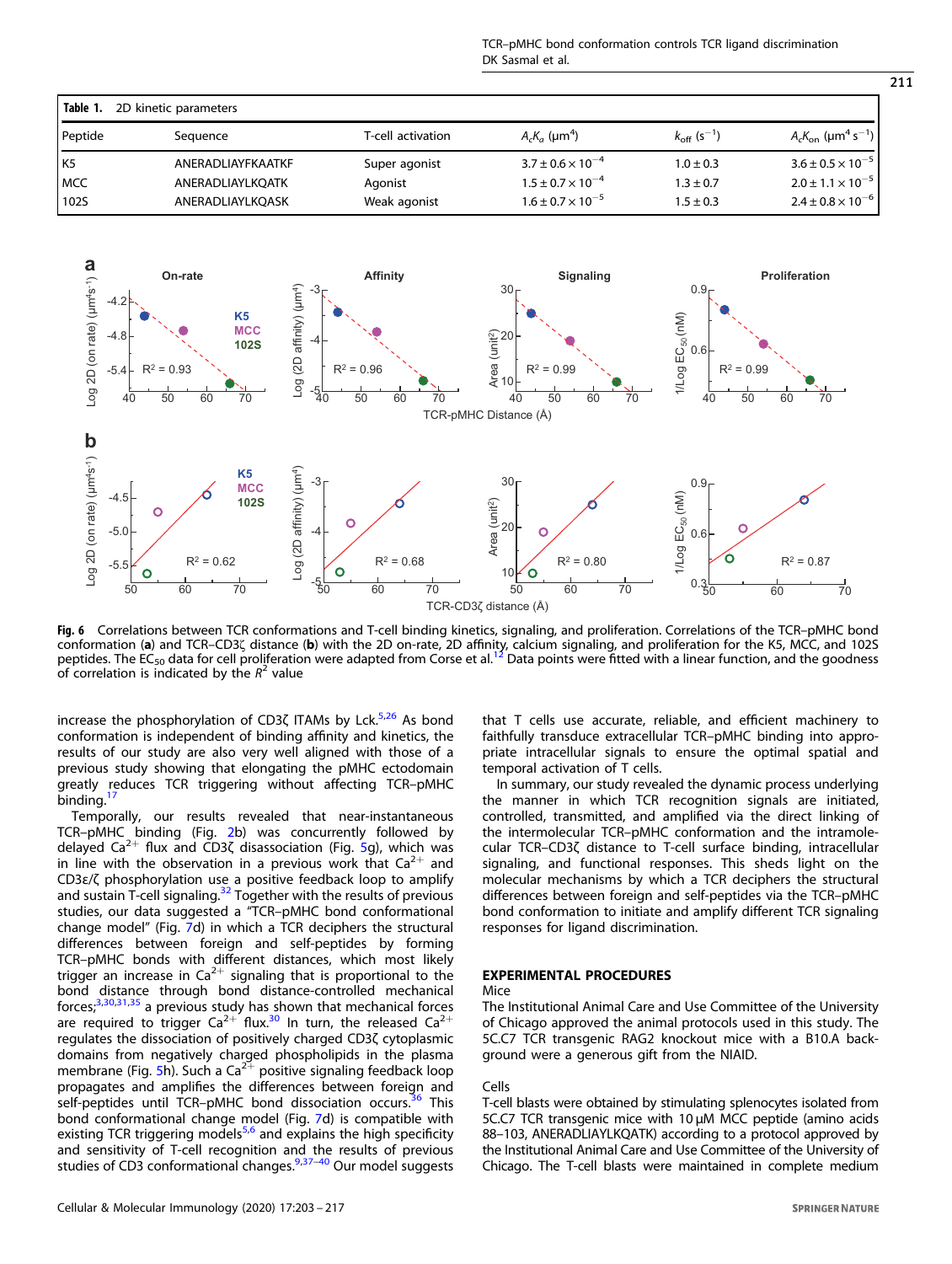<span id="page-8-0"></span>

| Table 1.<br>2D kinetic parameters |                   |                   |                              |                                  |                                                |  |
|-----------------------------------|-------------------|-------------------|------------------------------|----------------------------------|------------------------------------------------|--|
| Peptide                           | Sequence          | T-cell activation | $A_cK_a$ (µm <sup>4</sup> )  | $k_{\rm off}$ (s <sup>-1</sup> ) | $A_cK_{on}$ (µm <sup>4</sup> s <sup>-1</sup> ) |  |
| l K5                              | ANERADLIAYFKAATKF | Super agonist     | $3.7 \pm 0.6 \times 10^{-4}$ | $1.0 \pm 0.3$                    | $3.6 \pm 0.5 \times 10^{-5}$                   |  |
| MCC                               | ANERADLIAYLKQATK  | Agonist           | $1.5 \pm 0.7 \times 10^{-4}$ | $1.3 \pm 0.7$                    | $2.0 \pm 1.1 \times 10^{-5}$                   |  |
| 1025                              | ANERADLIAYLKOASK  | Weak agonist      | $1.6 \pm 0.7 \times 10^{-5}$ | $1.5 \pm 0.3$                    | $2.4 \pm 0.8 \times 10^{-6}$                   |  |



Fig. 6 Correlations between TCR conformations and T-cell binding kinetics, signaling, and proliferation. Correlations of the TCR–pMHC bond conformation (a) and TCR–CD3ζ distance (b) with the 2D on-rate, 2D affinity, calcium signaling, and proliferation for the K5, MCC, and 102S peptides. The EC<sub>50</sub> data for cell proliferation were adapted from Corse et al.<sup>[12](#page-13-0)</sup> Data points were fitted with a linear function, and the goodness of correlation is indicated by the  $R^2$  value

increase the phosphorylation of CD3 $\zeta$  ITAMs by Lck.<sup>[5,26](#page-13-0)</sup> As bond conformation is independent of binding affinity and kinetics, the results of our study are also very well aligned with those of a previous study showing that elongating the pMHC ectodomain greatly reduces TCR triggering without affecting TCR–pMHC binding. $1$ 

Temporally, our results revealed that near-instantaneous TCR–pMHC binding (Fig. [2b](#page-3-0)) was concurrently followed by delayed  $Ca^{2+}$  flux and CD3 $\zeta$  disassociation (Fig. [5](#page-7-0)g), which was in line with the observation in a previous work that  $Ca^{2+}$  and CD3ε/ζ phosphorylation use a positive feedback loop to amplify and sustain T-cell signaling.<sup>[32](#page-14-0)</sup> Together with the results of previous studies, our data suggested a "TCR–pMHC bond conformational change model" (Fig. [7d](#page-9-0)) in which a TCR deciphers the structural differences between foreign and self-peptides by forming TCR–pMHC bonds with different distances, which most likely trigger an increase in  $Ca^{2+}$  signaling that is proportional to the bond distance through bond distance-controlled mechanical forces, $3,30,31,35$  $3,30,31,35$  $3,30,31,35$  $3,30,31,35$  a previous study has shown that mechanical forces are required to trigger  $Ca^{2+}$  flux.<sup>[30](#page-13-0)</sup> In turn, the released  $Ca^{2+}$ regulates the dissociation of positively charged CD3ζ cytoplasmic domains from negatively charged phospholipids in the plasma membrane (Fig. [5](#page-7-0)h). Such a  $Ca^{2+}$  positive signaling feedback loop propagates and amplifies the differences between foreign and self-peptides until TCR-pMHC bond dissociation occurs.<sup>[36](#page-14-0)</sup> This bond conformational change model (Fig. [7d](#page-9-0)) is compatible with existing TCR triggering models<sup>[5,6](#page-13-0)</sup> and explains the high specificity and sensitivity of T-cell recognition and the results of previous studies of CD3 conformational changes.[9](#page-13-0)[,37](#page-14-0)–[40](#page-14-0) Our model suggests

Cellular & Molecular Immunology (2020) 17:203 – 217

that T cells use accurate, reliable, and efficient machinery to faithfully transduce extracellular TCR–pMHC binding into appropriate intracellular signals to ensure the optimal spatial and temporal activation of T cells.

In summary, our study revealed the dynamic process underlying the manner in which TCR recognition signals are initiated, controlled, transmitted, and amplified via the direct linking of the intermolecular TCR–pMHC conformation and the intramolecular TCR–CD3ζ distance to T-cell surface binding, intracellular signaling, and functional responses. This sheds light on the molecular mechanisms by which a TCR deciphers the structural differences between foreign and self-peptides via the TCR–pMHC bond conformation to initiate and amplify different TCR signaling responses for ligand discrimination.

#### EXPERIMENTAL PROCEDURES

#### Mice

The Institutional Animal Care and Use Committee of the University of Chicago approved the animal protocols used in this study. The 5C.C7 TCR transgenic RAG2 knockout mice with a B10.A background were a generous gift from the NIAID.

#### Cells

T-cell blasts were obtained by stimulating splenocytes isolated from 5C.C7 TCR transgenic mice with 10 μM MCC peptide (amino acids 88–103, ANERADLIAYLKQATK) according to a protocol approved by the Institutional Animal Care and Use Committee of the University of Chicago. The T-cell blasts were maintained in complete medium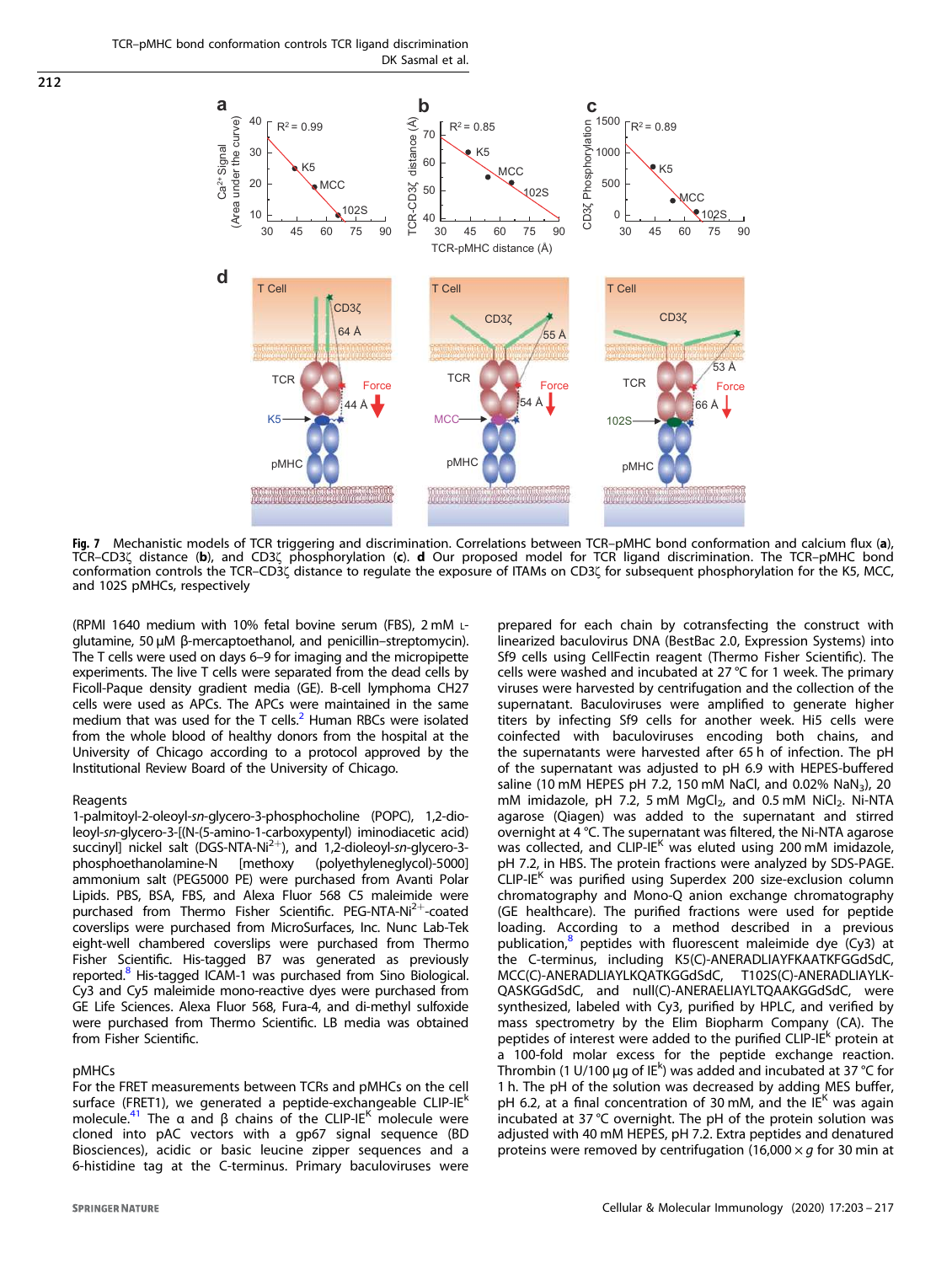<span id="page-9-0"></span>TCR–pMHC bond conformation controls TCR ligand discrimination DK Sasmal et al.



Fig. 7 Mechanistic models of TCR triggering and discrimination. Correlations between TCR-pMHC bond conformation and calcium flux (a), TCR–CD3ζ distance (b), and CD3ζ phosphorylation (c). d Our proposed model for TCR ligand discrimination. The TCR–pMHC bond conformation controls the TCR–CD3ζ distance to regulate the exposure of ITAMs on CD3ζ for subsequent phosphorylation for the K5, MCC, and 102S pMHCs, respectively

(RPMI 1640 medium with 10% fetal bovine serum (FBS), 2 mM <sup>L</sup>glutamine, 50 μM β-mercaptoethanol, and penicillin–streptomycin). The T cells were used on days 6–9 for imaging and the micropipette experiments. The live T cells were separated from the dead cells by Ficoll-Paque density gradient media (GE). B-cell lymphoma CH27 cells were used as APCs. The APCs were maintained in the same medium that was used for the T cells. $<sup>2</sup>$  $<sup>2</sup>$  $<sup>2</sup>$  Human RBCs were isolated</sup> from the whole blood of healthy donors from the hospital at the University of Chicago according to a protocol approved by the Institutional Review Board of the University of Chicago.

#### **Reagents**

1-palmitoyl-2-oleoyl-sn-glycero-3-phosphocholine (POPC), 1,2-dioleoyl-sn-glycero-3-[(N-(5-amino-1-carboxypentyl) iminodiacetic acid) succinyl] nickel salt (DGS-NTA-Ni<sup>2+</sup>), and 1,2-dioleoyl-sn-glycero-3phosphoethanolamine-N [methoxy (polyethyleneglycol)-5000] ammonium salt (PEG5000 PE) were purchased from Avanti Polar Lipids. PBS, BSA, FBS, and Alexa Fluor 568 C5 maleimide were purchased from Thermo Fisher Scientific. PEG-NTA-Ni<sup>2+</sup>-coated coverslips were purchased from MicroSurfaces, Inc. Nunc Lab-Tek eight-well chambered coverslips were purchased from Thermo Fisher Scientific. His-tagged B7 was generated as previously reported.<sup>[8](#page-13-0)</sup> His-tagged ICAM-1 was purchased from Sino Biological. Cy3 and Cy5 maleimide mono-reactive dyes were purchased from GE Life Sciences. Alexa Fluor 568, Fura-4, and di-methyl sulfoxide were purchased from Thermo Scientific. LB media was obtained from Fisher Scientific.

# pMHCs

For the FRET measurements between TCRs and pMHCs on the cell surface (FRET1), we generated a peptide-exchangeable CLIP-IE<sup>k</sup> molecule.<sup>[41](#page-14-0)</sup> The α and β chains of the CLIP-IE<sup>K</sup> molecule were cloned into pAC vectors with a gp67 signal sequence (BD Biosciences), acidic or basic leucine zipper sequences and a 6-histidine tag at the C-terminus. Primary baculoviruses were prepared for each chain by cotransfecting the construct with linearized baculovirus DNA (BestBac 2.0, Expression Systems) into Sf9 cells using CellFectin reagent (Thermo Fisher Scientific). The cells were washed and incubated at 27 °C for 1 week. The primary viruses were harvested by centrifugation and the collection of the supernatant. Baculoviruses were amplified to generate higher titers by infecting Sf9 cells for another week. Hi5 cells were coinfected with baculoviruses encoding both chains, and the supernatants were harvested after 65 h of infection. The pH of the supernatant was adjusted to pH 6.9 with HEPES-buffered saline (10 mM HEPES pH 7.2, 150 mM NaCl, and 0.02% NaN<sub>3</sub>), 20 mM imidazole, pH 7.2, 5 mM  $MgCl<sub>2</sub>$ , and 0.5 mM  $NiCl<sub>2</sub>$ . Ni-NTA agarose (Qiagen) was added to the supernatant and stirred overnight at 4 °C. The supernatant was filtered, the Ni-NTA agarose was collected, and CLIP-IE<sup>K</sup> was eluted using 200 mM imidazole, pH 7.2, in HBS. The protein fractions were analyzed by SDS-PAGE.  $CLIP-IE<sup>K</sup>$  was purified using Superdex 200 size-exclusion column chromatography and Mono-Q anion exchange chromatography (GE healthcare). The purified fractions were used for peptide loading. According to a method described in a previous publication,<sup>[8](#page-13-0)</sup> peptides with fluorescent maleimide dye (Cy3) at the C-terminus, including K5(C)-ANERADLIAYFKAATKFGGdSdC, MCC(C)-ANERADLIAYLKQATKGGdSdC, T102S(C)-ANERADLIAYLK-QASKGGdSdC, and null(C)-ANERAELIAYLTQAAKGGdSdC, were synthesized, labeled with Cy3, purified by HPLC, and verified by mass spectrometry by the Elim Biopharm Company (CA). The peptides of interest were added to the purified CLIP-IE<sup>k</sup> protein at a 100-fold molar excess for the peptide exchange reaction. Thrombin (1 U/100 µg of IE<sup>k</sup>) was added and incubated at 37 °C for 1 h. The pH of the solution was decreased by adding MES buffer, pH 6.2, at a final concentration of 30 mM, and the  $IE<sup>K</sup>$  was again incubated at 37 °C overnight. The pH of the protein solution was adjusted with 40 mM HEPES, pH 7.2. Extra peptides and denatured proteins were removed by centrifugation (16,000  $\times$  g for 30 min at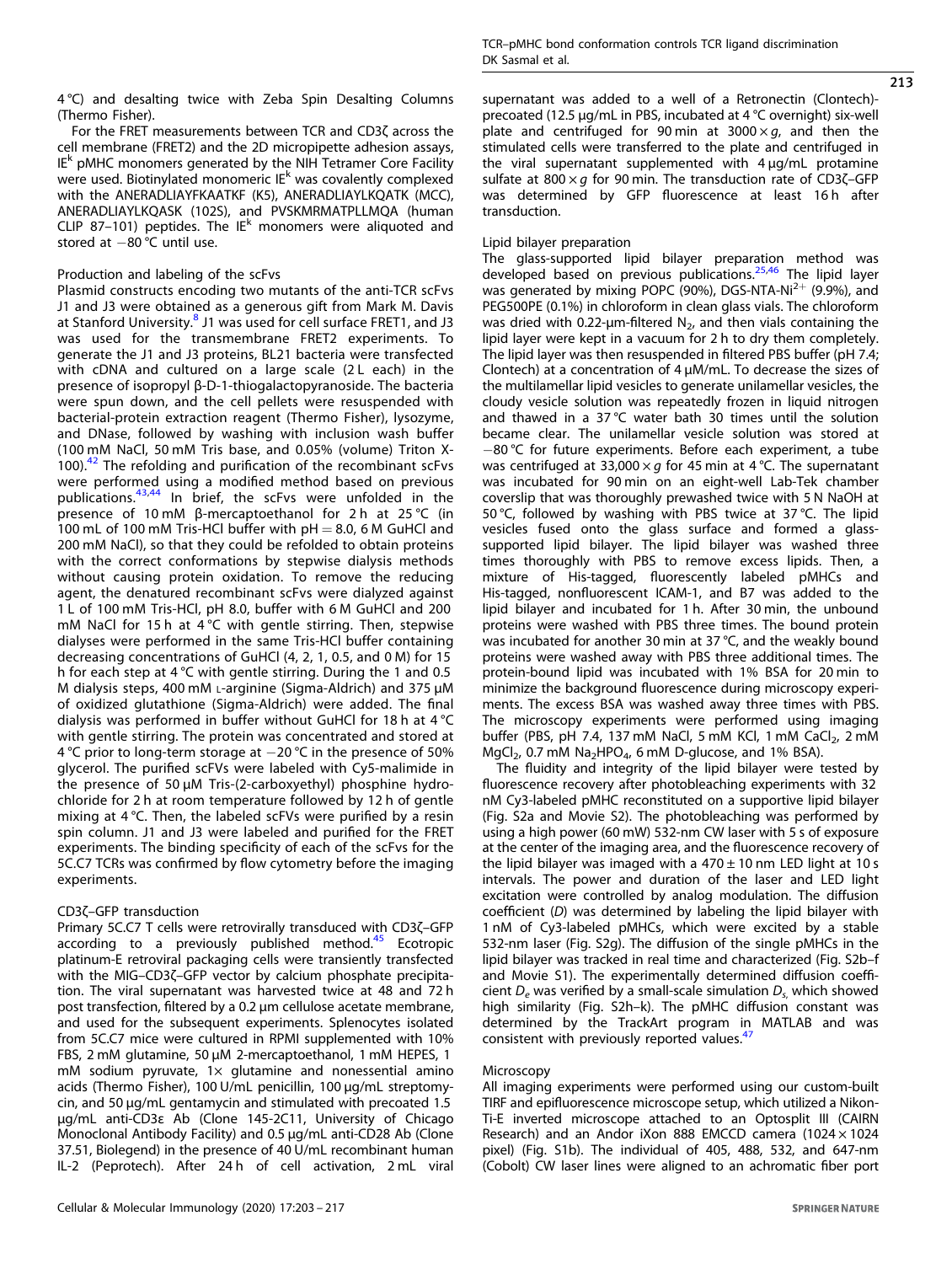4 °C) and desalting twice with Zeba Spin Desalting Columns (Thermo Fisher).

For the FRET measurements between TCR and CD3ζ across the cell membrane (FRET2) and the 2D micropipette adhesion assays, IE<sup>k</sup> pMHC monomers generated by the NIH Tetramer Core Facility were used. Biotinylated monomeric  $IE<sup>k</sup>$  was covalently complexed with the ANERADLIAYFKAATKF (K5), ANERADLIAYLKQATK (MCC), ANERADLIAYLKQASK (102S), and PVSKMRMATPLLMQA (human CLIP 87-101) peptides. The IE<sup>k</sup> monomers were aliquoted and stored at −80 °C until use.

# Production and labeling of the scFvs

Plasmid constructs encoding two mutants of the anti-TCR scFvs J1 and J3 were obtained as a generous gift from Mark M. Davis at Stanford University.<sup>[8](#page-13-0)</sup> J1 was used for cell surface FRET1, and J3 was used for the transmembrane FRET2 experiments. To generate the J1 and J3 proteins, BL21 bacteria were transfected with cDNA and cultured on a large scale (2L each) in the presence of isopropyl β-D-1-thiogalactopyranoside. The bacteria were spun down, and the cell pellets were resuspended with bacterial-protein extraction reagent (Thermo Fisher), lysozyme, and DNase, followed by washing with inclusion wash buffer (100 mM NaCl, 50 mM Tris base, and 0.05% (volume) Triton X- $100$ ).<sup>[42](#page-14-0)</sup> The refolding and purification of the recombinant scFvs were performed using a modified method based on previous publications.<sup>[43](#page-14-0),[44](#page-14-0)</sup> In brief, the scFvs were unfolded in the presence of 10 mM β-mercaptoethanol for 2 h at 25 °C (in 100 mL of 100 mM Tris-HCl buffer with  $pH = 8.0$ , 6 M GuHCl and 200 mM NaCl), so that they could be refolded to obtain proteins with the correct conformations by stepwise dialysis methods without causing protein oxidation. To remove the reducing agent, the denatured recombinant scFvs were dialyzed against 1 L of 100 mM Tris-HCl, pH 8.0, buffer with 6 M GuHCl and 200 mM NaCl for 15 h at 4 °C with gentle stirring. Then, stepwise dialyses were performed in the same Tris-HCl buffer containing decreasing concentrations of GuHCl (4, 2, 1, 0.5, and 0 M) for 15 h for each step at 4 °C with gentle stirring. During the 1 and 0.5 M dialysis steps, 400 mM <sup>L</sup>-arginine (Sigma-Aldrich) and 375 μM of oxidized glutathione (Sigma-Aldrich) were added. The final dialysis was performed in buffer without GuHCl for 18 h at 4 °C with gentle stirring. The protein was concentrated and stored at 4 °C prior to long-term storage at −20 °C in the presence of 50% glycerol. The purified scFVs were labeled with Cy5-malimide in the presence of 50 µM Tris-(2-carboxyethyl) phosphine hydrochloride for 2 h at room temperature followed by 12 h of gentle mixing at 4 °C. Then, the labeled scFVs were purified by a resin spin column. J1 and J3 were labeled and purified for the FRET experiments. The binding specificity of each of the scFvs for the 5C.C7 TCRs was confirmed by flow cytometry before the imaging experiments.

# CD3ζ–GFP transduction

Primary 5C.C7 T cells were retrovirally transduced with CD3ζ–GFP according to a previously published method. $45$  Ecotropic platinum-E retroviral packaging cells were transiently transfected with the MIG–CD3ζ–GFP vector by calcium phosphate precipitation. The viral supernatant was harvested twice at 48 and 72 h post transfection, filtered by a 0.2 μm cellulose acetate membrane, and used for the subsequent experiments. Splenocytes isolated from 5C.C7 mice were cultured in RPMI supplemented with 10% FBS, 2 mM glutamine, 50 µM 2-mercaptoethanol, 1 mM HEPES, 1 mM sodium pyruvate,  $1 \times$  glutamine and nonessential amino acids (Thermo Fisher), 100 U/mL penicillin, 100 µg/mL streptomycin, and 50 µg/mL gentamycin and stimulated with precoated 1.5 μg/mL anti-CD3ε Ab (Clone 145-2C11, University of Chicago Monoclonal Antibody Facility) and 0.5 μg/mL anti-CD28 Ab (Clone 37.51, Biolegend) in the presence of 40 U/mL recombinant human IL-2 (Peprotech). After 24 h of cell activation, 2 mL viral supernatant was added to a well of a Retronectin (Clontech) precoated (12.5 µg/mL in PBS, incubated at 4 °C overnight) six-well plate and centrifuged for 90 min at 3000  $\times$  g, and then the stimulated cells were transferred to the plate and centrifuged in the viral supernatant supplemented with 4 μg/mL protamine sulfate at 800  $\times$  g for 90 min. The transduction rate of CD3 $\zeta$ -GFP was determined by GFP fluorescence at least 16h after transduction.

# Lipid bilayer preparation

The glass-supported lipid bilayer preparation method was developed based on previous publications.<sup>[25](#page-13-0),[46](#page-14-0)</sup> The lipid layer was generated by mixing POPC (90%), DGS-NTA-Ni<sup>2+</sup> (9.9%), and PEG500PE (0.1%) in chloroform in clean glass vials. The chloroform was dried with 0.22- $\mu$ m-filtered N<sub>2</sub>, and then vials containing the lipid layer were kept in a vacuum for 2 h to dry them completely. The lipid layer was then resuspended in filtered PBS buffer (pH 7.4; Clontech) at a concentration of 4 µM/mL. To decrease the sizes of the multilamellar lipid vesicles to generate unilamellar vesicles, the cloudy vesicle solution was repeatedly frozen in liquid nitrogen and thawed in a 37 °C water bath 30 times until the solution became clear. The unilamellar vesicle solution was stored at −80 °C for future experiments. Before each experiment, a tube was centrifuged at 33,000  $\times$  g for 45 min at 4 °C. The supernatant was incubated for 90 min on an eight-well Lab-Tek chamber coverslip that was thoroughly prewashed twice with 5 N NaOH at 50 °C, followed by washing with PBS twice at 37 °C. The lipid vesicles fused onto the glass surface and formed a glasssupported lipid bilayer. The lipid bilayer was washed three times thoroughly with PBS to remove excess lipids. Then, a mixture of His-tagged, fluorescently labeled pMHCs and His-tagged, nonfluorescent ICAM-1, and B7 was added to the lipid bilayer and incubated for 1 h. After 30 min, the unbound proteins were washed with PBS three times. The bound protein was incubated for another 30 min at 37 °C, and the weakly bound proteins were washed away with PBS three additional times. The protein-bound lipid was incubated with 1% BSA for 20 min to minimize the background fluorescence during microscopy experiments. The excess BSA was washed away three times with PBS. The microscopy experiments were performed using imaging buffer (PBS, pH 7.4, 137 mM NaCl, 5 mM KCl, 1 mM CaCl<sub>2</sub>, 2 mM  $MqCl<sub>2</sub>$ , 0.7 mM Na<sub>2</sub>HPO<sub>4</sub>, 6 mM D-glucose, and 1% BSA).

The fluidity and integrity of the lipid bilayer were tested by fluorescence recovery after photobleaching experiments with 32 nM Cy3-labeled pMHC reconstituted on a supportive lipid bilayer (Fig. S2a and Movie S2). The photobleaching was performed by using a high power (60 mW) 532-nm CW laser with 5 s of exposure at the center of the imaging area, and the fluorescence recovery of the lipid bilayer was imaged with a  $470 \pm 10$  nm LED light at 10 s intervals. The power and duration of the laser and LED light excitation were controlled by analog modulation. The diffusion coefficient (D) was determined by labeling the lipid bilayer with 1 nM of Cy3-labeled pMHCs, which were excited by a stable 532-nm laser (Fig. S2g). The diffusion of the single pMHCs in the lipid bilayer was tracked in real time and characterized (Fig. S2b–f and Movie S1). The experimentally determined diffusion coefficient  $D_e$  was verified by a small-scale simulation  $D_{s}$ , which showed high similarity (Fig. S2h–k). The pMHC diffusion constant was determined by the TrackArt program in MATLAB and was consistent with previously reported values.<sup>[47](#page-14-0)</sup>

## **Microscopy**

All imaging experiments were performed using our custom-built TIRF and epifluorescence microscope setup, which utilized a Nikon-Ti-E inverted microscope attached to an Optosplit III (CAIRN Research) and an Andor iXon 888 EMCCD camera (1024 × 1024 pixel) (Fig. S1b). The individual of 405, 488, 532, and 647-nm (Cobolt) CW laser lines were aligned to an achromatic fiber port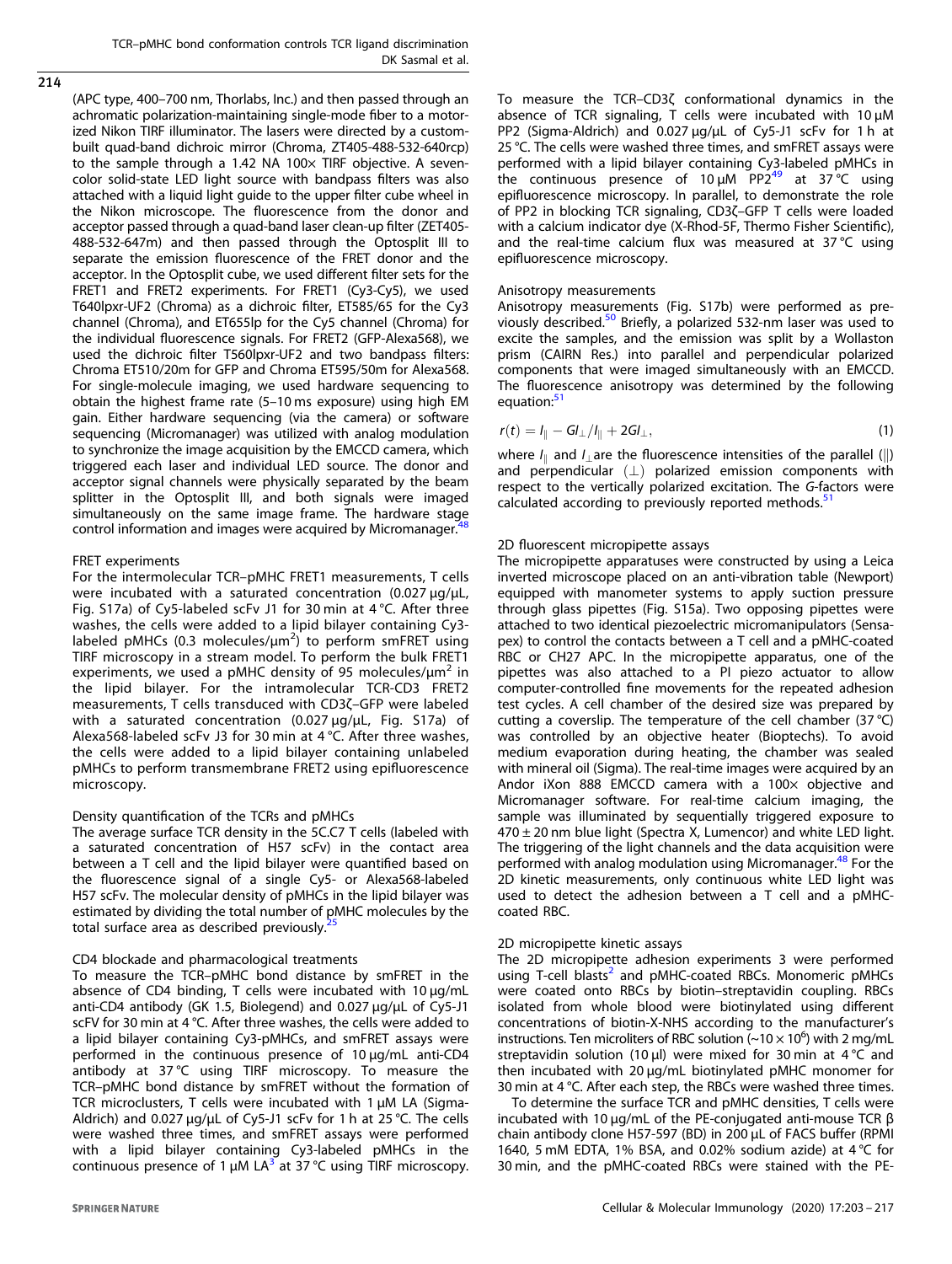<span id="page-11-0"></span>214

(APC type, 400–700 nm, Thorlabs, Inc.) and then passed through an achromatic polarization-maintaining single-mode fiber to a motorized Nikon TIRF illuminator. The lasers were directed by a custombuilt quad-band dichroic mirror (Chroma, ZT405-488-532-640rcp) to the sample through a 1.42 NA 100 $\times$  TIRF objective. A sevencolor solid-state LED light source with bandpass filters was also attached with a liquid light guide to the upper filter cube wheel in the Nikon microscope. The fluorescence from the donor and acceptor passed through a quad-band laser clean-up filter (ZET405- 488-532-647m) and then passed through the Optosplit III to separate the emission fluorescence of the FRET donor and the acceptor. In the Optosplit cube, we used different filter sets for the FRET1 and FRET2 experiments. For FRET1 (Cy3-Cy5), we used T640lpxr-UF2 (Chroma) as a dichroic filter, ET585/65 for the Cy3 channel (Chroma), and ET655lp for the Cy5 channel (Chroma) for the individual fluorescence signals. For FRET2 (GFP-Alexa568), we used the dichroic filter T560lpxr-UF2 and two bandpass filters: Chroma ET510/20m for GFP and Chroma ET595/50m for Alexa568. For single-molecule imaging, we used hardware sequencing to obtain the highest frame rate (5–10 ms exposure) using high EM gain. Either hardware sequencing (via the camera) or software sequencing (Micromanager) was utilized with analog modulation to synchronize the image acquisition by the EMCCD camera, which triggered each laser and individual LED source. The donor and acceptor signal channels were physically separated by the beam splitter in the Optosplit III, and both signals were imaged simultaneously on the same image frame. The hardware stage control information and images were acquired by Micromanager.<sup>4</sup>

#### FRET experiments

For the intermolecular TCR–pMHC FRET1 measurements, T cells were incubated with a saturated concentration  $(0.027 \,\mu\text{g}/\text{\mu L})$ , Fig. S17a) of Cy5-labeled scFv J1 for 30 min at 4 °C. After three washes, the cells were added to a lipid bilayer containing Cy3 labeled pMHCs (0.3 molecules/um<sup>2</sup>) to perform smFRET using TIRF microscopy in a stream model. To perform the bulk FRET1 experiments, we used a pMHC density of 95 molecules/ $\mu$ m<sup>2</sup> in the lipid bilayer. For the intramolecular TCR-CD3 FRET2 measurements, T cells transduced with CD3ζ–GFP were labeled with a saturated concentration (0.027 µg/µL, Fig. S17a) of Alexa568-labeled scFv J3 for 30 min at 4 °C. After three washes, the cells were added to a lipid bilayer containing unlabeled pMHCs to perform transmembrane FRET2 using epifluorescence microscopy.

#### Density quantification of the TCRs and pMHCs

The average surface TCR density in the 5C.C7 T cells (labeled with a saturated concentration of H57 scFv) in the contact area between a T cell and the lipid bilayer were quantified based on the fluorescence signal of a single Cy5- or Alexa568-labeled H57 scFv. The molecular density of pMHCs in the lipid bilayer was estimated by dividing the total number of pMHC molecules by the total surface area as described previously.<sup>2</sup>

#### CD4 blockade and pharmacological treatments

To measure the TCR–pMHC bond distance by smFRET in the absence of CD4 binding, T cells were incubated with 10 μg/mL anti-CD4 antibody (GK 1.5, Biolegend) and 0.027 µg/µL of Cy5-J1 scFV for 30 min at 4 °C. After three washes, the cells were added to a lipid bilayer containing Cy3-pMHCs, and smFRET assays were performed in the continuous presence of 10 μg/mL anti-CD4 antibody at 37 °C using TIRF microscopy. To measure the TCR–pMHC bond distance by smFRET without the formation of TCR microclusters, T cells were incubated with 1 μM LA (Sigma-Aldrich) and 0.027  $\mu$ g/ $\mu$ L of Cy5-J1 scFv for 1 h at 25 °C. The cells were washed three times, and smFRET assays were performed with a lipid bilayer containing Cy3-labeled pMHCs in the continuous presence of 1  $\mu$ M LA<sup>[3](#page-13-0)</sup> at 37 °C using TIRF microscopy.

To measure the TCR–CD3ζ conformational dynamics in the absence of TCR signaling, T cells were incubated with 10 μM PP2 (Sigma-Aldrich) and 0.027 µg/µL of Cy5-J1 scFv for 1 h at 25 °C. The cells were washed three times, and smFRET assays were performed with a lipid bilayer containing Cy3-labeled pMHCs in the continuous presence of 10  $\mu$ M PP2<sup>[49](#page-14-0)</sup> at 37 °C using epifluorescence microscopy. In parallel, to demonstrate the role of PP2 in blocking TCR signaling, CD3ζ–GFP T cells were loaded with a calcium indicator dye (X-Rhod-5F, Thermo Fisher Scientific), and the real-time calcium flux was measured at 37 °C using epifluorescence microscopy.

#### Anisotropy measurements

Anisotropy measurements (Fig. S17b) were performed as pre-viously described.<sup>[50](#page-14-0)</sup> Briefly, a polarized 532-nm laser was used to excite the samples, and the emission was split by a Wollaston prism (CAIRN Res.) into parallel and perpendicular polarized components that were imaged simultaneously with an EMCCD. The fluorescence anisotropy was determined by the following equation:<sup>[51](#page-14-0)</sup>

$$
r(t) = I_{\parallel} - G I_{\perp} / I_{\parallel} + 2G I_{\perp},
$$
\n(1)

where  $I_{\parallel}$  and  $I_{\perp}$  are the fluorescence intensities of the parallel (||) and perpendicular  $(\perp)$  polarized emission components with respect to the vertically polarized excitation. The G-factors were calculated according to previously reported methods.<sup>[51](#page-14-0)</sup>

#### 2D fluorescent micropipette assays

The micropipette apparatuses were constructed by using a Leica inverted microscope placed on an anti-vibration table (Newport) equipped with manometer systems to apply suction pressure through glass pipettes (Fig. S15a). Two opposing pipettes were attached to two identical piezoelectric micromanipulators (Sensapex) to control the contacts between a T cell and a pMHC-coated RBC or CH27 APC. In the micropipette apparatus, one of the pipettes was also attached to a PI piezo actuator to allow computer-controlled fine movements for the repeated adhesion test cycles. A cell chamber of the desired size was prepared by cutting a coverslip. The temperature of the cell chamber (37 °C) was controlled by an objective heater (Bioptechs). To avoid medium evaporation during heating, the chamber was sealed with mineral oil (Sigma). The real-time images were acquired by an Andor iXon 888 EMCCD camera with a 100x objective and Micromanager software. For real-time calcium imaging, the sample was illuminated by sequentially triggered exposure to  $470 \pm 20$  nm blue light (Spectra X, Lumencor) and white LED light. The triggering of the light channels and the data acquisition were performed with analog modulation using Micromanager.<sup>[48](#page-14-0)</sup> For the 2D kinetic measurements, only continuous white LED light was used to detect the adhesion between a T cell and a pMHCcoated RBC.

## 2D micropipette kinetic assays

The 2D micropipette adhesion experiments 3 were performed using T-cell blasts<sup>[2](#page-13-0)</sup> and pMHC-coated RBCs. Monomeric pMHCs were coated onto RBCs by biotin–streptavidin coupling. RBCs isolated from whole blood were biotinylated using different concentrations of biotin-X-NHS according to the manufacturer's instructions. Ten microliters of RBC solution  $\sim 10 \times 10^6$ ) with 2 mg/mL streptavidin solution (10 µl) were mixed for 30 min at 4  $\degree$ C and then incubated with 20 μg/mL biotinylated pMHC monomer for 30 min at 4 °C. After each step, the RBCs were washed three times.

To determine the surface TCR and pMHC densities, T cells were incubated with 10 μg/mL of the PE-conjugated anti-mouse TCR β chain antibody clone H57-597 (BD) in 200 μL of FACS buffer (RPMI 1640, 5 mM EDTA, 1% BSA, and 0.02% sodium azide) at 4 °C for 30 min, and the pMHC-coated RBCs were stained with the PE-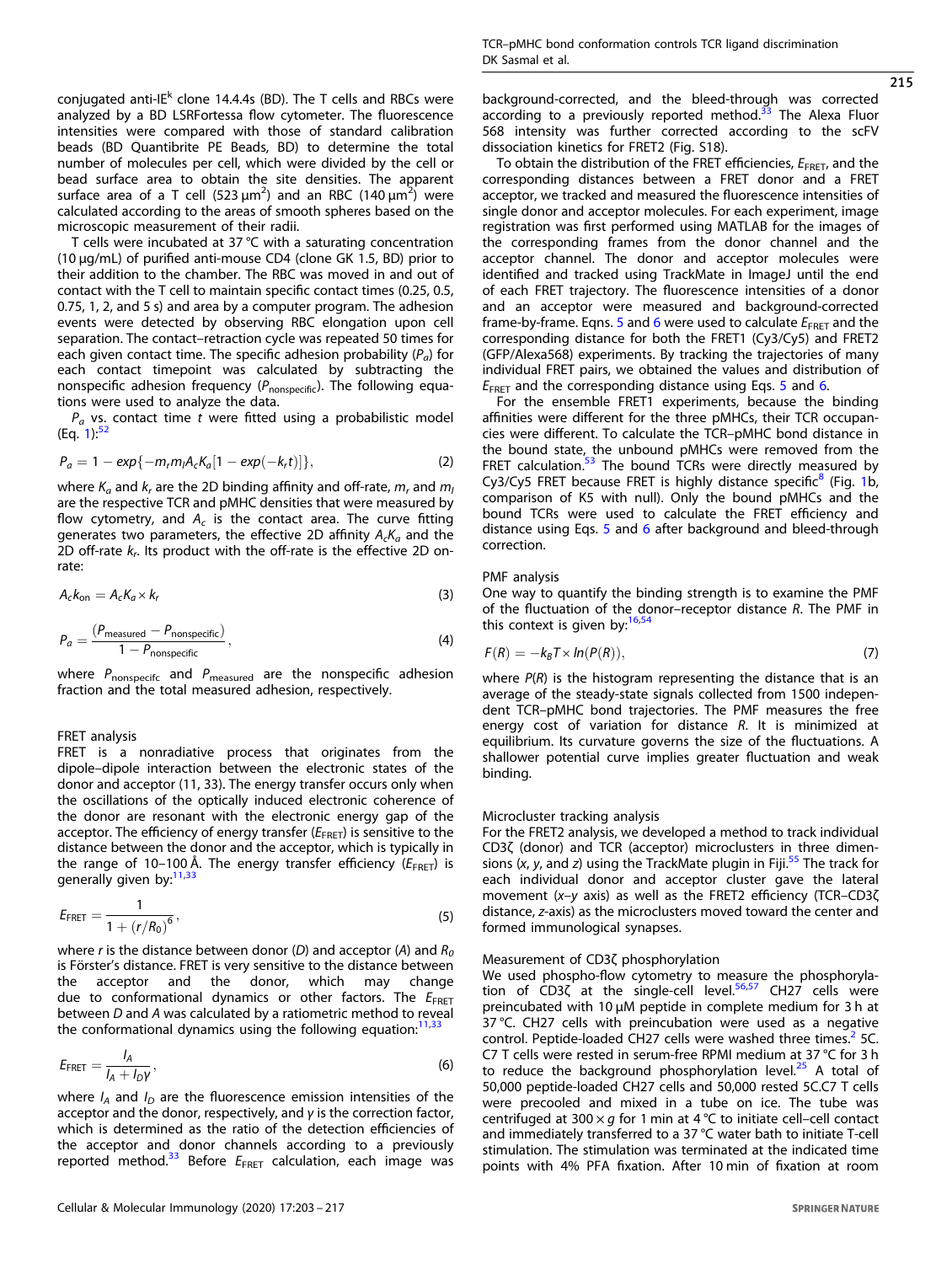conjugated anti-IE $^{\mathsf{k}}$  clone 14.4.4s (BD). The T cells and RBCs were analyzed by a BD LSRFortessa flow cytometer. The fluorescence intensities were compared with those of standard calibration beads (BD Quantibrite PE Beads, BD) to determine the total number of molecules per cell, which were divided by the cell or bead surface area to obtain the site densities. The apparent surface area of a T cell (523  $\mu$ m<sup>2</sup>) and an RBC (140  $\mu$ m<sup>2</sup>) were calculated according to the areas of smooth spheres based on the microscopic measurement of their radii.

T cells were incubated at 37 °C with a saturating concentration (10 µg/mL) of purified anti-mouse CD4 (clone GK 1.5, BD) prior to their addition to the chamber. The RBC was moved in and out of contact with the T cell to maintain specific contact times (0.25, 0.5, 0.75, 1, 2, and 5 s) and area by a computer program. The adhesion events were detected by observing RBC elongation upon cell separation. The contact–retraction cycle was repeated 50 times for each given contact time. The specific adhesion probability  $(P_a)$  for each contact timepoint was calculated by subtracting the nonspecific adhesion frequency  $(P_{nonspecific})$ . The following equations were used to analyze the data.

 $P_a$  vs. contact time t were fitted using a probabilistic model (Eq.  $1$ ): $52$ 

$$
P_a = 1 - exp{-m_r m_l A_c K_a [1 - exp(-k_r t)]},
$$
\n(2)

where  $K_a$  and  $k_r$  are the 2D binding affinity and off-rate,  $m_r$  and  $m_l$ are the respective TCR and pMHC densities that were measured by flow cytometry, and  $A_c$  is the contact area. The curve fitting generates two parameters, the effective 2D affinity  $A_cK_a$  and the 2D off-rate  $k_r$ . Its product with the off-rate is the effective 2D onrate:

$$
A_c k_{\rm on} = A_c K_a \times k_r \tag{3}
$$

$$
P_a = \frac{(P_{\text{measured}} - P_{\text{nonspecific}})}{1 - P_{\text{nonspecific}}},
$$
\n(4)

where  $P_{\text{nonspecific}}$  and  $P_{\text{measured}}$  are the nonspecific adhesion fraction and the total measured adhesion, respectively.

# FRET analysis

FRET is a nonradiative process that originates from the dipole–dipole interaction between the electronic states of the donor and acceptor (11, 33). The energy transfer occurs only when the oscillations of the optically induced electronic coherence of the donor are resonant with the electronic energy gap of the acceptor. The efficiency of energy transfer  $(E_{\text{FRET}})$  is sensitive to the distance between the donor and the acceptor, which is typically in the range of 10–100 Å. The energy transfer efficiency ( $E_{\text{FRET}}$ ) is generally given by:<sup>[11](#page-13-0)[,33](#page-14-0)</sup>

$$
E_{\text{FRET}} = \frac{1}{1 + (r/R_0)^6},\tag{5}
$$

where r is the distance between donor (D) and acceptor (A) and  $R_0$ is Förster's distance. FRET is very sensitive to the distance between the acceptor and the donor, which may change due to conformational dynamics or other factors. The  $E_{\text{FRET}}$ between D and A was calculated by a ratiometric method to reveal the conformational dynamics using the following equation: $11,33$  $11,33$  $11,33$ 

$$
E_{\text{FRET}} = \frac{I_A}{I_A + I_D \gamma},\tag{6}
$$

where  $I_A$  and  $I_D$  are the fluorescence emission intensities of the acceptor and the donor, respectively, and  $\gamma$  is the correction factor, which is determined as the ratio of the detection efficiencies of the acceptor and donor channels according to a previously reported method.<sup>[33](#page-14-0)</sup> Before  $E_{\text{FRET}}$  calculation, each image was background-corrected, and the bleed-through was corrected according to a previously reported method. $33$  The Alexa Fluor 568 intensity was further corrected according to the scFV dissociation kinetics for FRET2 (Fig. S18).

To obtain the distribution of the FRET efficiencies,  $E_{\text{FRET}}$ , and the corresponding distances between a FRET donor and a FRET acceptor, we tracked and measured the fluorescence intensities of single donor and acceptor molecules. For each experiment, image registration was first performed using MATLAB for the images of the corresponding frames from the donor channel and the acceptor channel. The donor and acceptor molecules were identified and tracked using TrackMate in ImageJ until the end of each FRET trajectory. The fluorescence intensities of a donor and an acceptor were measured and background-corrected frame-by-frame. Eqns. 5 and 6 were used to calculate  $E_{\text{FRET}}$  and the corresponding distance for both the FRET1 (Cy3/Cy5) and FRET2 (GFP/Alexa568) experiments. By tracking the trajectories of many individual FRET pairs, we obtained the values and distribution of  $E_{\text{FRET}}$  and the corresponding distance using Eqs. 5 and 6.

For the ensemble FRET1 experiments, because the binding affinities were different for the three pMHCs, their TCR occupancies were different. To calculate the TCR–pMHC bond distance in the bound state, the unbound pMHCs were removed from the FRET calculation. $53$  The bound TCRs were directly measured by Cy3/Cy5 FRET because FRET is highly distance specific<sup>[8](#page-13-0)</sup> (Fig. [1](#page-1-0)b, comparison of K5 with null). Only the bound pMHCs and the bound TCRs were used to calculate the FRET efficiency and distance using Eqs. 5 and 6 after background and bleed-through correction.

## PMF analysis

One way to quantify the binding strength is to examine the PMF of the fluctuation of the donor–receptor distance R. The PMF in this context is given by: $16,54$  $16,54$ 

$$
F(R) = -k_B T \times ln(P(R)),
$$
\n(7)

where  $P(R)$  is the histogram representing the distance that is an average of the steady-state signals collected from 1500 independent TCR–pMHC bond trajectories. The PMF measures the free energy cost of variation for distance R. It is minimized at equilibrium. Its curvature governs the size of the fluctuations. A shallower potential curve implies greater fluctuation and weak binding.

## Microcluster tracking analysis

For the FRET2 analysis, we developed a method to track individual CD3ζ (donor) and TCR (acceptor) microclusters in three dimensions  $(x, y,$  and z) using the TrackMate plugin in Fiji.<sup>[55](#page-14-0)</sup> The track for each individual donor and acceptor cluster gave the lateral movement (x–y axis) as well as the FRET2 efficiency (TCR–CD3ζ distance, z-axis) as the microclusters moved toward the center and formed immunological synapses.

#### Measurement of CD3ζ phosphorylation

We used phospho-flow cytometry to measure the phosphoryla-tion of CD3ζ at the single-cell level.<sup>[56,57](#page-14-0)</sup> CH27 cells were preincubated with 10 μM peptide in complete medium for 3 h at 37 °C. CH27 cells with preincubation were used as a negative control. Peptide-loaded CH[2](#page-13-0)7 cells were washed three times.<sup>2</sup> 5C. C7 T cells were rested in serum-free RPMI medium at 37 °C for 3 h to reduce the background phosphorylation level. $25$  A total of 50,000 peptide-loaded CH27 cells and 50,000 rested 5C.C7 T cells were precooled and mixed in a tube on ice. The tube was centrifuged at 300  $\times$  g for 1 min at 4 °C to initiate cell–cell contact and immediately transferred to a 37 °C water bath to initiate T-cell stimulation. The stimulation was terminated at the indicated time points with 4% PFA fixation. After 10 min of fixation at room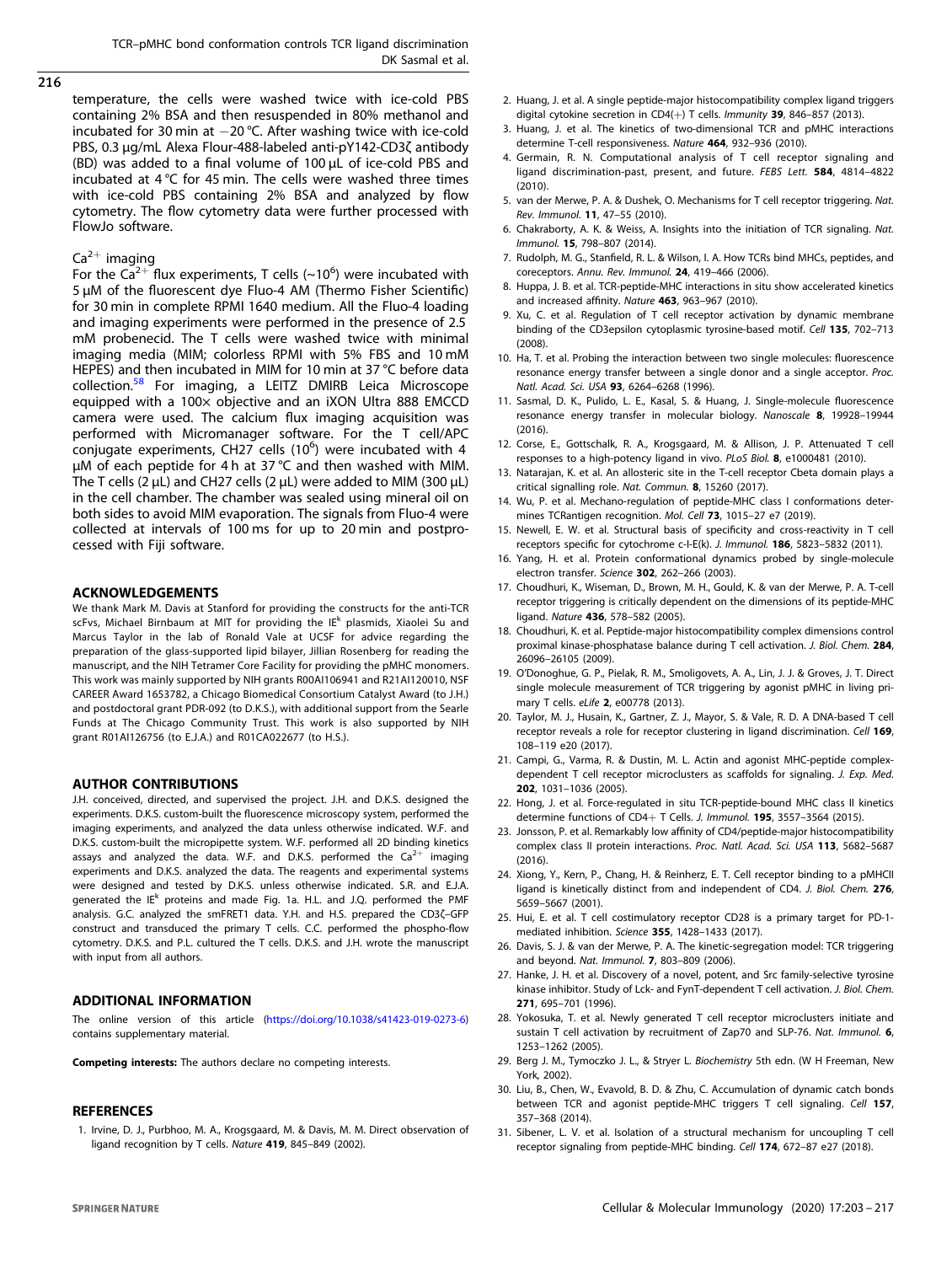<span id="page-13-0"></span>temperature, the cells were washed twice with ice-cold PBS containing 2% BSA and then resuspended in 80% methanol and incubated for 30 min at −20 °C. After washing twice with ice-cold PBS, 0.3 μg/mL Alexa Flour-488-labeled anti-pY142-CD3ζ antibody (BD) was added to a final volume of 100 μL of ice-cold PBS and incubated at 4 °C for 45 min. The cells were washed three times with ice-cold PBS containing 2% BSA and analyzed by flow cytometry. The flow cytometry data were further processed with FlowJo software.

# $Ca^{2+}$  imaging

For the Ca<sup>2+</sup> flux experiments, T cells (~10<sup>6</sup>) were incubated with 5 μM of the fluorescent dye Fluo-4 AM (Thermo Fisher Scientific) for 30 min in complete RPMI 1640 medium. All the Fluo-4 loading and imaging experiments were performed in the presence of 2.5 mM probenecid. The T cells were washed twice with minimal imaging media (MIM; colorless RPMI with 5% FBS and 10 mM HEPES) and then incubated in MIM for 10 min at 37 °C before data collection.[58](#page-14-0) For imaging, a LEITZ DMIRB Leica Microscope equipped with a 100× objective and an iXON Ultra 888 EMCCD camera were used. The calcium flux imaging acquisition was performed with Micromanager software. For the T cell/APC conjugate experiments, CH27 cells (10<sup>6</sup>) were incubated with 4 μM of each peptide for 4 h at 37 °C and then washed with MIM. The T cells (2 μL) and CH27 cells (2 μL) were added to MIM (300 μL) in the cell chamber. The chamber was sealed using mineral oil on both sides to avoid MIM evaporation. The signals from Fluo-4 were collected at intervals of 100 ms for up to 20 min and postprocessed with Fiji software.

#### ACKNOWLEDGEMENTS

We thank Mark M. Davis at Stanford for providing the constructs for the anti-TCR scFvs, Michael Birnbaum at MIT for providing the IE<sup>k</sup> plasmids, Xiaolei Su and Marcus Taylor in the lab of Ronald Vale at UCSF for advice regarding the preparation of the glass-supported lipid bilayer, Jillian Rosenberg for reading the manuscript, and the NIH Tetramer Core Facility for providing the pMHC monomers. This work was mainly supported by NIH grants R00AI106941 and R21AI120010, NSF CAREER Award 1653782, a Chicago Biomedical Consortium Catalyst Award (to J.H.) and postdoctoral grant PDR-092 (to D.K.S.), with additional support from the Searle Funds at The Chicago Community Trust. This work is also supported by NIH grant R01AI126756 (to E.J.A.) and R01CA022677 (to H.S.).

#### AUTHOR CONTRIBUTIONS

J.H. conceived, directed, and supervised the project. J.H. and D.K.S. designed the experiments. D.K.S. custom-built the fluorescence microscopy system, performed the imaging experiments, and analyzed the data unless otherwise indicated. W.F. and D.K.S. custom-built the micropipette system. W.F. performed all 2D binding kinetics assays and analyzed the data. W.F. and D.K.S. performed the  $Ca^{2+}$  imaging experiments and D.K.S. analyzed the data. The reagents and experimental systems were designed and tested by D.K.S. unless otherwise indicated. S.R. and E.J.A. generated the IE<sup>k</sup> proteins and made Fig. 1a. H.L. and J.Q. performed the PMF analysis. G.C. analyzed the smFRET1 data. Y.H. and H.S. prepared the CD3ζ–GFP construct and transduced the primary T cells. C.C. performed the phospho-flow cytometry. D.K.S. and P.L. cultured the T cells. D.K.S. and J.H. wrote the manuscript with input from all authors.

#### ADDITIONAL INFORMATION

The online version of this article (<https://doi.org/10.1038/s41423-019-0273-6>) contains supplementary material.

Competing interests: The authors declare no competing interests.

## **REFERENCES**

1. Irvine, D. J., Purbhoo, M. A., Krogsgaard, M. & Davis, M. M. Direct observation of ligand recognition by T cells. Nature 419, 845–849 (2002).

- 2. Huang, J. et al. A single peptide-major histocompatibility complex ligand triggers digital cytokine secretion in CD4( $+$ ) T cells. Immunity 39, 846–857 (2013).
- 3. Huang, J. et al. The kinetics of two-dimensional TCR and pMHC interactions determine T-cell responsiveness. Nature 464, 932–936 (2010).
- 4. Germain, R. N. Computational analysis of T cell receptor signaling and ligand discrimination-past, present, and future. FEBS Lett. 584, 4814–4822 (2010).
- 5. van der Merwe, P. A. & Dushek, O. Mechanisms for T cell receptor triggering. Nat. Rev. Immunol. 11, 47–55 (2010).
- 6. Chakraborty, A. K. & Weiss, A. Insights into the initiation of TCR signaling. Nat. Immunol. 15, 798–807 (2014).
- 7. Rudolph, M. G., Stanfield, R. L. & Wilson, I. A. How TCRs bind MHCs, peptides, and coreceptors. Annu. Rev. Immunol. 24, 419–466 (2006).
- 8. Huppa, J. B. et al. TCR-peptide-MHC interactions in situ show accelerated kinetics and increased affinity. Nature 463, 963–967 (2010).
- 9. Xu, C. et al. Regulation of T cell receptor activation by dynamic membrane binding of the CD3epsilon cytoplasmic tyrosine-based motif. Cell 135, 702–713 (2008).
- 10. Ha, T. et al. Probing the interaction between two single molecules: fluorescence resonance energy transfer between a single donor and a single acceptor. Proc. Natl. Acad. Sci. USA 93, 6264–6268 (1996).
- 11. Sasmal, D. K., Pulido, L. E., Kasal, S. & Huang, J. Single-molecule fluorescence resonance energy transfer in molecular biology. Nanoscale 8, 19928–19944 (2016).
- 12. Corse, E., Gottschalk, R. A., Krogsgaard, M. & Allison, J. P. Attenuated T cell responses to a high-potency ligand in vivo. PLoS Biol. 8, e1000481 (2010).
- 13. Natarajan, K. et al. An allosteric site in the T-cell receptor Cbeta domain plays a critical signalling role. Nat. Commun. 8, 15260 (2017).
- 14. Wu, P. et al. Mechano-regulation of peptide-MHC class I conformations determines TCRantigen recognition. Mol. Cell 73, 1015–27 e7 (2019).
- 15. Newell, E. W. et al. Structural basis of specificity and cross-reactivity in T cell receptors specific for cytochrome c-I-E(k). J. Immunol. 186, 5823–5832 (2011).
- 16. Yang, H. et al. Protein conformational dynamics probed by single-molecule electron transfer. Science 302, 262–266 (2003).
- 17. Choudhuri, K., Wiseman, D., Brown, M. H., Gould, K. & van der Merwe, P. A. T-cell receptor triggering is critically dependent on the dimensions of its peptide-MHC ligand. Nature 436, 578–582 (2005).
- 18. Choudhuri, K. et al. Peptide-major histocompatibility complex dimensions control proximal kinase-phosphatase balance during T cell activation. J. Biol. Chem. 284, 26096–26105 (2009).
- 19. O'Donoghue, G. P., Pielak, R. M., Smoligovets, A. A., Lin, J. J. & Groves, J. T. Direct single molecule measurement of TCR triggering by agonist pMHC in living primary T cells. eLife 2, e00778 (2013).
- 20. Taylor, M. J., Husain, K., Gartner, Z. J., Mayor, S. & Vale, R. D. A DNA-based T cell receptor reveals a role for receptor clustering in ligand discrimination. Cell 169, 108–119 e20 (2017).
- 21. Campi, G., Varma, R. & Dustin, M. L. Actin and agonist MHC-peptide complexdependent T cell receptor microclusters as scaffolds for signaling. J. Exp. Med. 202, 1031–1036 (2005).
- 22. Hong, J. et al. Force-regulated in situ TCR-peptide-bound MHC class II kinetics determine functions of CD4+ T Cells. J. Immunol. 195, 3557–3564 (2015).
- 23. Jonsson, P. et al. Remarkably low affinity of CD4/peptide-major histocompatibility complex class II protein interactions. Proc. Natl. Acad. Sci. USA 113, 5682–5687 (2016).
- 24. Xiong, Y., Kern, P., Chang, H. & Reinherz, E. T. Cell receptor binding to a pMHCII ligand is kinetically distinct from and independent of CD4. J. Biol. Chem. 276, 5659–5667 (2001).
- 25. Hui, E. et al. T cell costimulatory receptor CD28 is a primary target for PD-1 mediated inhibition. Science 355, 1428–1433 (2017).
- 26. Davis, S. J. & van der Merwe, P. A. The kinetic-segregation model: TCR triggering and beyond. Nat. Immunol. 7, 803–809 (2006).
- 27. Hanke, J. H. et al. Discovery of a novel, potent, and Src family-selective tyrosine kinase inhibitor. Study of Lck- and FynT-dependent T cell activation. J. Biol. Chem. 271, 695–701 (1996).
- 28. Yokosuka, T. et al. Newly generated T cell receptor microclusters initiate and sustain T cell activation by recruitment of Zap70 and SLP-76. Nat. Immunol. 6, 1253–1262 (2005).
- 29. Berg J. M., Tymoczko J. L., & Stryer L. Biochemistry 5th edn. (W H Freeman, New York, 2002).
- 30. Liu, B., Chen, W., Evavold, B. D. & Zhu, C. Accumulation of dynamic catch bonds between TCR and agonist peptide-MHC triggers T cell signaling. Cell 157, 357–368 (2014).
- 31. Sibener, L. V. et al. Isolation of a structural mechanism for uncoupling T cell receptor signaling from peptide-MHC binding. Cell 174, 672–87 e27 (2018).